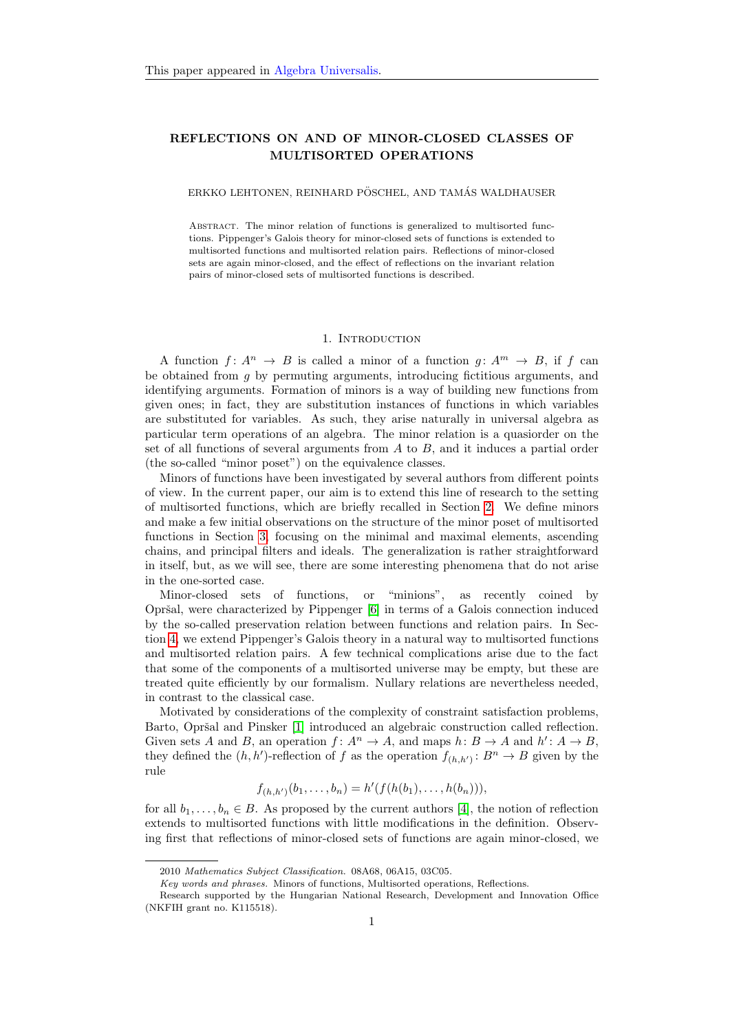# REFLECTIONS ON AND OF MINOR-CLOSED CLASSES OF MULTISORTED OPERATIONS

## ERKKO LEHTONEN, REINHARD PÖSCHEL, AND TAMÁS WALDHAUSER

Abstract. The minor relation of functions is generalized to multisorted functions. Pippenger's Galois theory for minor-closed sets of functions is extended to multisorted functions and multisorted relation pairs. Reflections of minor-closed sets are again minor-closed, and the effect of reflections on the invariant relation pairs of minor-closed sets of multisorted functions is described.

#### 1. INTRODUCTION

A function  $f: A^n \to B$  is called a minor of a function  $q: A^m \to B$ , if f can be obtained from g by permuting arguments, introducing fictitious arguments, and identifying arguments. Formation of minors is a way of building new functions from given ones; in fact, they are substitution instances of functions in which variables are substituted for variables. As such, they arise naturally in universal algebra as particular term operations of an algebra. The minor relation is a quasiorder on the set of all functions of several arguments from  $A$  to  $B$ , and it induces a partial order (the so-called "minor poset") on the equivalence classes.

Minors of functions have been investigated by several authors from different points of view. In the current paper, our aim is to extend this line of research to the setting of multisorted functions, which are briefly recalled in Section [2.](#page-1-0) We define minors and make a few initial observations on the structure of the minor poset of multisorted functions in Section [3,](#page-2-0) focusing on the minimal and maximal elements, ascending chains, and principal filters and ideals. The generalization is rather straightforward in itself, but, as we will see, there are some interesting phenomena that do not arise in the one-sorted case.

Minor-closed sets of functions, or "minions", as recently coined by Opršal, were characterized by Pippenger [\[6\]](#page-13-0) in terms of a Galois connection induced by the so-called preservation relation between functions and relation pairs. In Section [4,](#page-6-0) we extend Pippenger's Galois theory in a natural way to multisorted functions and multisorted relation pairs. A few technical complications arise due to the fact that some of the components of a multisorted universe may be empty, but these are treated quite efficiently by our formalism. Nullary relations are nevertheless needed, in contrast to the classical case.

Motivated by considerations of the complexity of constraint satisfaction problems, Barto, Opršal and Pinsker [\[1\]](#page-13-1) introduced an algebraic construction called reflection. Given sets A and B, an operation  $f: A^n \to A$ , and maps  $h: B \to A$  and  $h': A \to B$ , they defined the  $(h, h')$ -reflection of f as the operation  $f_{(h, h')} : B^n \to B$  given by the rule

$$
f_{(h,h')}(b_1,\ldots,b_n) = h'(f(h(b_1),\ldots,h(b_n))),
$$

for all  $b_1, \ldots, b_n \in B$ . As proposed by the current authors [\[4\]](#page-13-2), the notion of reflection extends to multisorted functions with little modifications in the definition. Observing first that reflections of minor-closed sets of functions are again minor-closed, we

<sup>2010</sup> Mathematics Subject Classification. 08A68, 06A15, 03C05.

Key words and phrases. Minors of functions, Multisorted operations, Reflections.

Research supported by the Hungarian National Research, Development and Innovation Office (NKFIH grant no. K115518).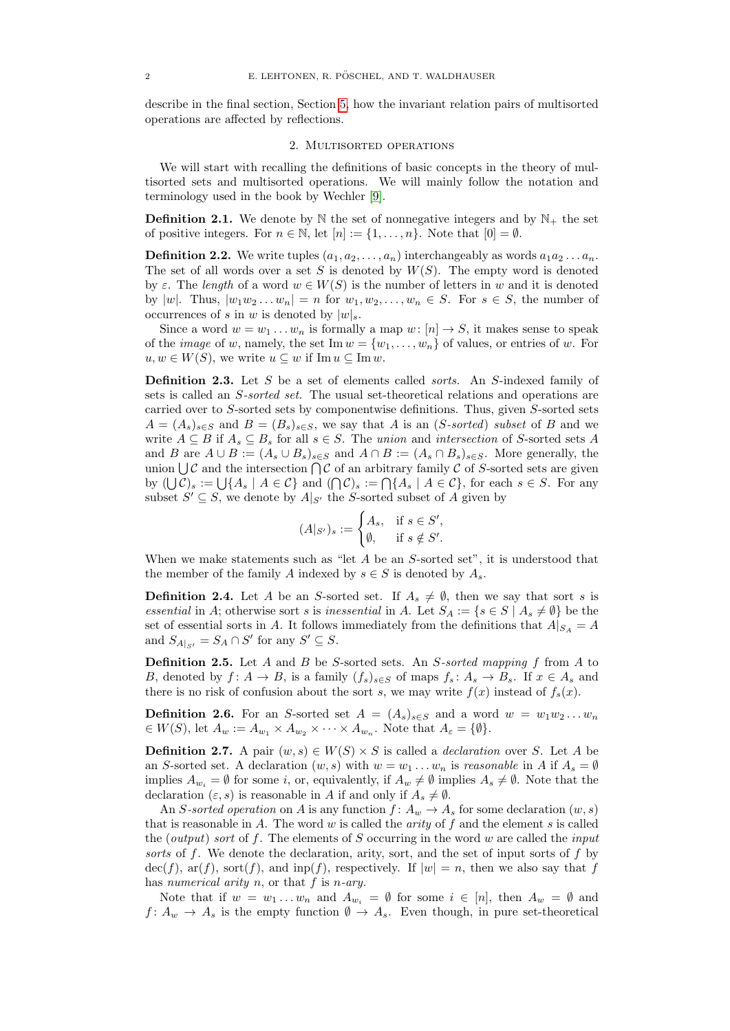describe in the final section, Section [5,](#page-12-0) how the invariant relation pairs of multisorted operations are affected by reflections.

#### 2. Multisorted operations

<span id="page-1-0"></span>We will start with recalling the definitions of basic concepts in the theory of multisorted sets and multisorted operations. We will mainly follow the notation and terminology used in the book by Wechler [\[9\]](#page-13-3).

**Definition 2.1.** We denote by  $\mathbb N$  the set of nonnegative integers and by  $\mathbb N_+$  the set of positive integers. For  $n \in \mathbb{N}$ , let  $[n] := \{1, \ldots, n\}$ . Note that  $[0] = \emptyset$ .

**Definition 2.2.** We write tuples  $(a_1, a_2, \ldots, a_n)$  interchangeably as words  $a_1 a_2 \ldots a_n$ . The set of all words over a set S is denoted by  $W(S)$ . The empty word is denoted by  $\varepsilon$ . The length of a word  $w \in W(S)$  is the number of letters in w and it is denoted by  $|w|$ . Thus,  $|w_1w_2...w_n| = n$  for  $w_1, w_2,..., w_n \in S$ . For  $s \in S$ , the number of occurrences of s in w is denoted by  $|w|_s$ .

Since a word  $w = w_1 \dots w_n$  is formally a map  $w : [n] \to S$ , it makes sense to speak of the *image* of w, namely, the set Im  $w = \{w_1, \ldots, w_n\}$  of values, or entries of w. For  $u, w \in W(S)$ , we write  $u \subseteq w$  if Im  $u \subseteq \text{Im } w$ .

**Definition 2.3.** Let S be a set of elements called *sorts*. An S-indexed family of sets is called an S-sorted set. The usual set-theoretical relations and operations are carried over to S-sorted sets by componentwise definitions. Thus, given S-sorted sets  $A = (A_s)_{s \in S}$  and  $B = (B_s)_{s \in S}$ , we say that A is an (S-sorted) subset of B and we write  $A \subseteq B$  if  $A_s \subseteq B_s$  for all  $s \in S$ . The union and intersection of S-sorted sets A and B are  $A \cup B := (A_s \cup B_s)_{s \in S}$  and  $A \cap B := (A_s \cap B_s)_{s \in S}$ . More generally, the union  $\bigcup \mathcal{C}$  and the intersection  $\bigcap \mathcal{C}$  of an arbitrary family  $\mathcal{C}$  of S-sorted sets are given by  $(\bigcup \mathcal{C})_s := \bigcup \{A_s \mid A \in \mathcal{C}\}\$  and  $(\bigcap \mathcal{C})_s := \bigcap \{A_s \mid A \in \mathcal{C}\}\$ , for each  $s \in S$ . For any subset  $S' \subseteq S$ , we denote by  $A|_{S'}$  the S-sorted subset of A given by

$$
(A|_{S'})_s := \begin{cases} A_s, & \text{if } s \in S', \\ \emptyset, & \text{if } s \notin S'. \end{cases}
$$

When we make statements such as "let  $A$  be an  $S$ -sorted set", it is understood that the member of the family A indexed by  $s \in S$  is denoted by  $A_s$ .

**Definition 2.4.** Let A be an S-sorted set. If  $A_s \neq \emptyset$ , then we say that sort s is essential in A; otherwise sort s is inessential in A. Let  $S_A := \{s \in S \mid A_s \neq \emptyset\}$  be the set of essential sorts in A. It follows immediately from the definitions that  $A|_{S_A} = A$ and  $S_{A|_{S'}} = S_A \cap S'$  for any  $S' \subseteq S$ .

Definition 2.5. Let A and B be S-sorted sets. An S-sorted mapping f from A to B, denoted by  $f: A \to B$ , is a family  $(f_s)_{s \in S}$  of maps  $f_s: A_s \to B_s$ . If  $x \in A_s$  and there is no risk of confusion about the sort s, we may write  $f(x)$  instead of  $f_s(x)$ .

**Definition 2.6.** For an S-sorted set  $A = (A_s)_{s \in S}$  and a word  $w = w_1w_2...w_n$  $\in W(S)$ , let  $A_w := A_{w_1} \times A_{w_2} \times \cdots \times A_{w_n}$ . Note that  $A_{\varepsilon} = \{\emptyset\}.$ 

**Definition 2.7.** A pair  $(w, s) \in W(S) \times S$  is called a *declaration* over S. Let A be an S-sorted set. A declaration  $(w, s)$  with  $w = w_1 \dots w_n$  is reasonable in A if  $A_s = \emptyset$ implies  $A_{w_i} = \emptyset$  for some *i*, or, equivalently, if  $A_w \neq \emptyset$  implies  $A_s \neq \emptyset$ . Note that the declaration  $(\varepsilon, s)$  is reasonable in A if and only if  $A_s \neq \emptyset$ .

An S-sorted operation on A is any function  $f: A_w \to A_s$  for some declaration  $(w, s)$ that is reasonable in A. The word  $w$  is called the *arity* of  $f$  and the element  $s$  is called the (*output*) sort of f. The elements of S occurring in the word w are called the *input* sorts of f. We denote the declaration, arity, sort, and the set of input sorts of f by  $\text{dec}(f)$ ,  $\text{ar}(f)$ ,  $\text{sort}(f)$ , and  $\text{inp}(f)$ , respectively. If  $|w| = n$ , then we also say that f has numerical arity n, or that  $f$  is n-ary.

Note that if  $w = w_1 \dots w_n$  and  $A_{w_i} = \emptyset$  for some  $i \in [n]$ , then  $A_w = \emptyset$  and  $f: A_w \to A_s$  is the empty function  $\emptyset \to A_s$ . Even though, in pure set-theoretical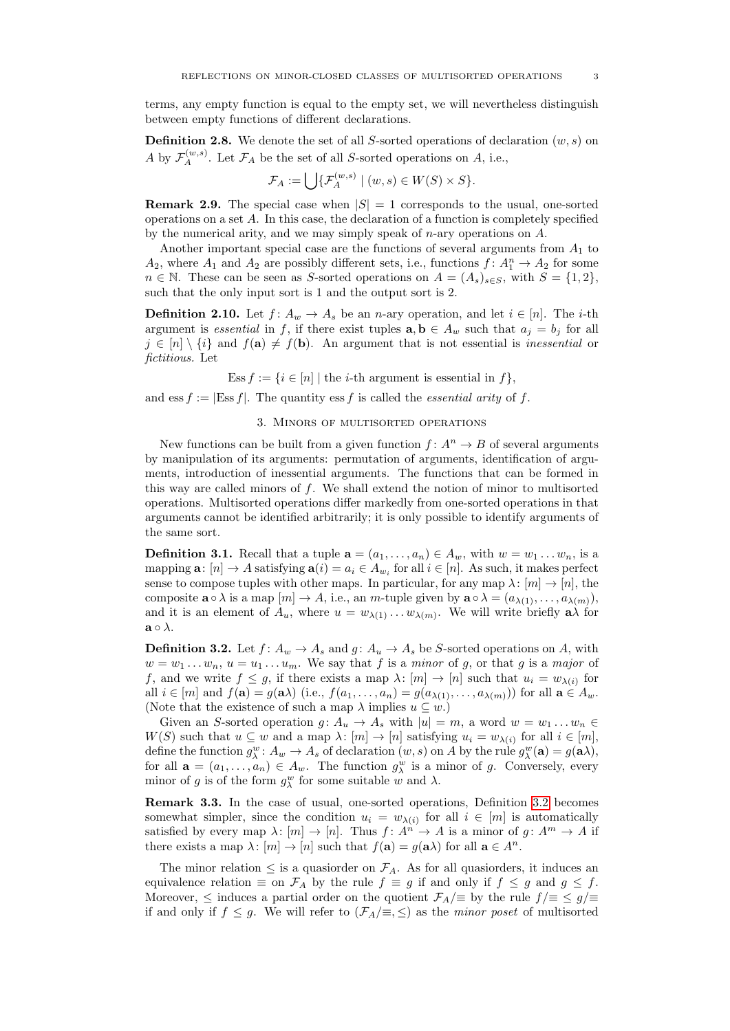terms, any empty function is equal to the empty set, we will nevertheless distinguish between empty functions of different declarations.

**Definition 2.8.** We denote the set of all S-sorted operations of declaration  $(w, s)$  on A by  $\mathcal{F}_A^{(w,s)}$ . Let  $\mathcal{F}_A$  be the set of all S-sorted operations on A, i.e.,

$$
\mathcal{F}_A := \bigcup \{ \mathcal{F}_A^{(w,s)} \mid (w,s) \in W(S) \times S \}.
$$

**Remark 2.9.** The special case when  $|S| = 1$  corresponds to the usual, one-sorted operations on a set A. In this case, the declaration of a function is completely specified by the numerical arity, and we may simply speak of  $n$ -ary operations on  $A$ .

Another important special case are the functions of several arguments from  $A_1$  to  $A_2$ , where  $A_1$  and  $A_2$  are possibly different sets, i.e., functions  $f: A_1^n \to A_2$  for some  $n \in \mathbb{N}$ . These can be seen as S-sorted operations on  $A = (A_s)_{s \in S}$ , with  $S = \{1, 2\}$ , such that the only input sort is 1 and the output sort is 2.

**Definition 2.10.** Let  $f: A_w \to A_s$  be an *n*-ary operation, and let  $i \in [n]$ . The *i*-th argument is essential in f, if there exist tuples  $\mathbf{a}, \mathbf{b} \in A_w$  such that  $a_j = b_j$  for all  $j \in [n] \setminus \{i\}$  and  $f(\mathbf{a}) \neq f(\mathbf{b})$ . An argument that is not essential is inessential or fictitious. Let

Ess  $f := \{i \in [n] \mid \text{the } i\text{-th argument is essential in } f\},\$ 

<span id="page-2-0"></span>and ess  $f := |\text{Ess } f|$ . The quantity ess f is called the *essential arity* of f.

#### 3. Minors of multisorted operations

New functions can be built from a given function  $f: A^n \to B$  of several arguments by manipulation of its arguments: permutation of arguments, identification of arguments, introduction of inessential arguments. The functions that can be formed in this way are called minors of  $f$ . We shall extend the notion of minor to multisorted operations. Multisorted operations differ markedly from one-sorted operations in that arguments cannot be identified arbitrarily; it is only possible to identify arguments of the same sort.

**Definition 3.1.** Recall that a tuple  $\mathbf{a} = (a_1, \ldots, a_n) \in A_w$ , with  $w = w_1 \ldots w_n$ , is a mapping  $\mathbf{a}: [n] \to A$  satisfying  $\mathbf{a}(i) = a_i \in A_{w_i}$  for all  $i \in [n]$ . As such, it makes perfect sense to compose tuples with other maps. In particular, for any map  $\lambda: [m] \to [n]$ , the composite  $\mathbf{a} \circ \lambda$  is a map  $[m] \to A$ , i.e., an m-tuple given by  $\mathbf{a} \circ \lambda = (a_{\lambda(1)}, \dots, a_{\lambda(m)})$ , and it is an element of  $A_u$ , where  $u = w_{\lambda(1)} \dots w_{\lambda(m)}$ . We will write briefly  $a\lambda$  for  $\mathbf{a} \circ \lambda$ .

<span id="page-2-1"></span>**Definition 3.2.** Let  $f: A_w \to A_s$  and  $g: A_u \to A_s$  be S-sorted operations on A, with  $w = w_1 \dots w_n$ ,  $u = u_1 \dots u_m$ . We say that f is a minor of g, or that g is a major of f, and we write  $f \leq g$ , if there exists a map  $\lambda: [m] \to [n]$  such that  $u_i = w_{\lambda(i)}$  for all  $i \in [m]$  and  $f(\mathbf{a}) = g(\mathbf{a}\lambda)$  (i.e.,  $f(a_1, \ldots, a_n) = g(a_{\lambda(1)}, \ldots, a_{\lambda(m)})$ ) for all  $\mathbf{a} \in A_w$ . (Note that the existence of such a map  $\lambda$  implies  $u \subseteq w$ .)

Given an S-sorted operation  $g: A_u \to A_s$  with  $|u| = m$ , a word  $w = w_1 \dots w_n \in$  $W(S)$  such that  $u \subseteq w$  and a map  $\lambda: [m] \to [n]$  satisfying  $u_i = w_{\lambda(i)}$  for all  $i \in [m]$ , define the function  $g_{\lambda}^w: A_w \to A_s$  of declaration  $(w, s)$  on A by the rule  $g_{\lambda}^w(\mathbf{a}) = g(\mathbf{a}\lambda)$ , for all  $\mathbf{a} = (a_1, \dots, a_n) \in A_w$ . The function  $g_{\lambda}^w$  is a minor of g. Conversely, every minor of g is of the form  $g_{\lambda}^w$  for some suitable w and  $\lambda$ .

Remark 3.3. In the case of usual, one-sorted operations, Definition [3.2](#page-2-1) becomes somewhat simpler, since the condition  $u_i = w_{\lambda(i)}$  for all  $i \in [m]$  is automatically satisfied by every map  $\lambda: [m] \to [n]$ . Thus  $f: A^{n} \to A$  is a minor of  $g: A^{m} \to A$  if there exists a map  $\lambda: [m] \to [n]$  such that  $f(\mathbf{a}) = g(\mathbf{a}\lambda)$  for all  $\mathbf{a} \in A^n$ .

The minor relation  $\leq$  is a quasiorder on  $\mathcal{F}_A$ . As for all quasiorders, it induces an equivalence relation  $\equiv$  on  $\mathcal{F}_A$  by the rule  $f \equiv g$  if and only if  $f \leq g$  and  $g \leq f$ . Moreover,  $\leq$  induces a partial order on the quotient  $\mathcal{F}_A/\equiv$  by the rule  $f/\equiv \leq g/\equiv$ if and only if  $f \leq g$ . We will refer to  $(\mathcal{F}_A/\equiv, \leq)$  as the *minor poset* of multisorted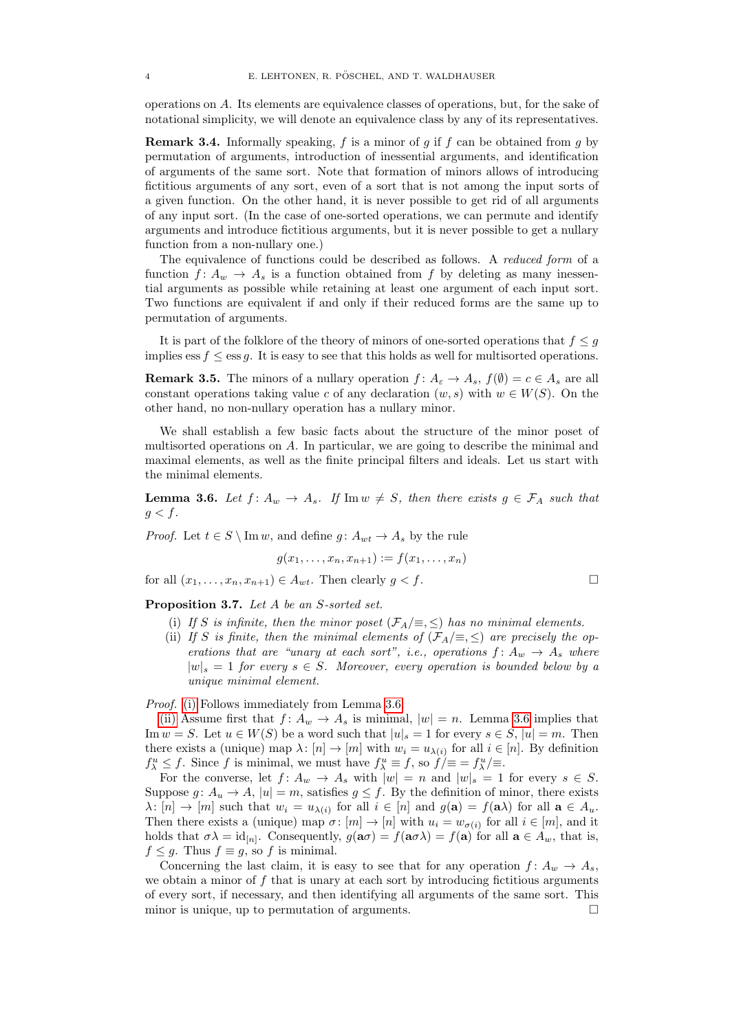operations on A. Its elements are equivalence classes of operations, but, for the sake of notational simplicity, we will denote an equivalence class by any of its representatives.

**Remark 3.4.** Informally speaking,  $f$  is a minor of  $g$  if  $f$  can be obtained from  $g$  by permutation of arguments, introduction of inessential arguments, and identification of arguments of the same sort. Note that formation of minors allows of introducing fictitious arguments of any sort, even of a sort that is not among the input sorts of a given function. On the other hand, it is never possible to get rid of all arguments of any input sort. (In the case of one-sorted operations, we can permute and identify arguments and introduce fictitious arguments, but it is never possible to get a nullary function from a non-nullary one.)

The equivalence of functions could be described as follows. A reduced form of a function  $f: A_w \to A_s$  is a function obtained from f by deleting as many inessential arguments as possible while retaining at least one argument of each input sort. Two functions are equivalent if and only if their reduced forms are the same up to permutation of arguments.

It is part of the folklore of the theory of minors of one-sorted operations that  $f \leq g$ implies ess  $f \leq \text{ess } g$ . It is easy to see that this holds as well for multisorted operations.

**Remark 3.5.** The minors of a nullary operation  $f: A_{\varepsilon} \to A_s$ ,  $f(\emptyset) = c \in A_s$  are all constant operations taking value c of any declaration  $(w, s)$  with  $w \in W(S)$ . On the other hand, no non-nullary operation has a nullary minor.

We shall establish a few basic facts about the structure of the minor poset of multisorted operations on A. In particular, we are going to describe the minimal and maximal elements, as well as the finite principal filters and ideals. Let us start with the minimal elements.

<span id="page-3-1"></span>**Lemma 3.6.** Let  $f: A_w \to A_s$ . If  $\text{Im } w \neq S$ , then there exists  $g \in \mathcal{F}_A$  such that  $g < f$ .

*Proof.* Let  $t \in S \setminus \text{Im } w$ , and define  $q: A_{wt} \to A_s$  by the rule

$$
g(x_1,\ldots,x_n,x_{n+1}) := f(x_1,\ldots,x_n)
$$

for all  $(x_1, \ldots, x_n, x_{n+1}) \in A_{wt}$ . Then clearly  $g < f$ .

<span id="page-3-0"></span>Proposition 3.7. Let A be an S-sorted set.

- (i) If S is infinite, then the minor poset  $(\mathcal{F}_A/\equiv, \leq)$  has no minimal elements.
- <span id="page-3-2"></span>(ii) If S is finite, then the minimal elements of  $(\mathcal{F}_A/\equiv,\leq)$  are precisely the operations that are "unary at each sort", i.e., operations  $f: A_w \rightarrow A_s$  where  $|w|_s = 1$  for every  $s \in S$ . Moreover, every operation is bounded below by a unique minimal element.

Proof. [\(i\)](#page-3-0) Follows immediately from Lemma [3.6.](#page-3-1)

[\(ii\)](#page-3-2) Assume first that  $f: A_w \to A_s$  is minimal,  $|w| = n$ . Lemma [3.6](#page-3-1) implies that Im  $w = S$ . Let  $u \in W(S)$  be a word such that  $|u|_s = 1$  for every  $s \in S$ ,  $|u| = m$ . Then there exists a (unique) map  $\lambda: [n] \to [m]$  with  $w_i = u_{\lambda(i)}$  for all  $i \in [n]$ . By definition  $f_{\lambda}^u \leq f$ . Since f is minimal, we must have  $f_{\lambda}^u \equiv f$ , so  $\hat{f}/\equiv f_{\lambda}^u/\equiv f$ .

For the converse, let  $f: A_w \to A_s$  with  $|w| = n$  and  $|w|_s = 1$  for every  $s \in S$ . Suppose  $g: A_u \to A$ ,  $|u| = m$ , satisfies  $g \leq f$ . By the definition of minor, there exists  $\lambda: [n] \to [m]$  such that  $w_i = u_{\lambda(i)}$  for all  $i \in [n]$  and  $g(\mathbf{a}) = f(\mathbf{a}\lambda)$  for all  $\mathbf{a} \in A_u$ . Then there exists a (unique) map  $\sigma: [m] \to [n]$  with  $u_i = w_{\sigma(i)}$  for all  $i \in [m]$ , and it holds that  $\sigma \lambda = \text{id}_{[n]}$ . Consequently,  $g(\mathbf{a}\sigma) = f(\mathbf{a}\sigma \lambda) = f(\mathbf{a})$  for all  $\mathbf{a} \in A_w$ , that is,  $f \leq g$ . Thus  $f \equiv g$ , so f is minimal.

Concerning the last claim, it is easy to see that for any operation  $f: A_w \to A_s$ , we obtain a minor of  $f$  that is unary at each sort by introducing fictitious arguments of every sort, if necessary, and then identifying all arguments of the same sort. This minor is unique, up to permutation of arguments.  $\Box$ 

$$
\overline{\phantom{0}}
$$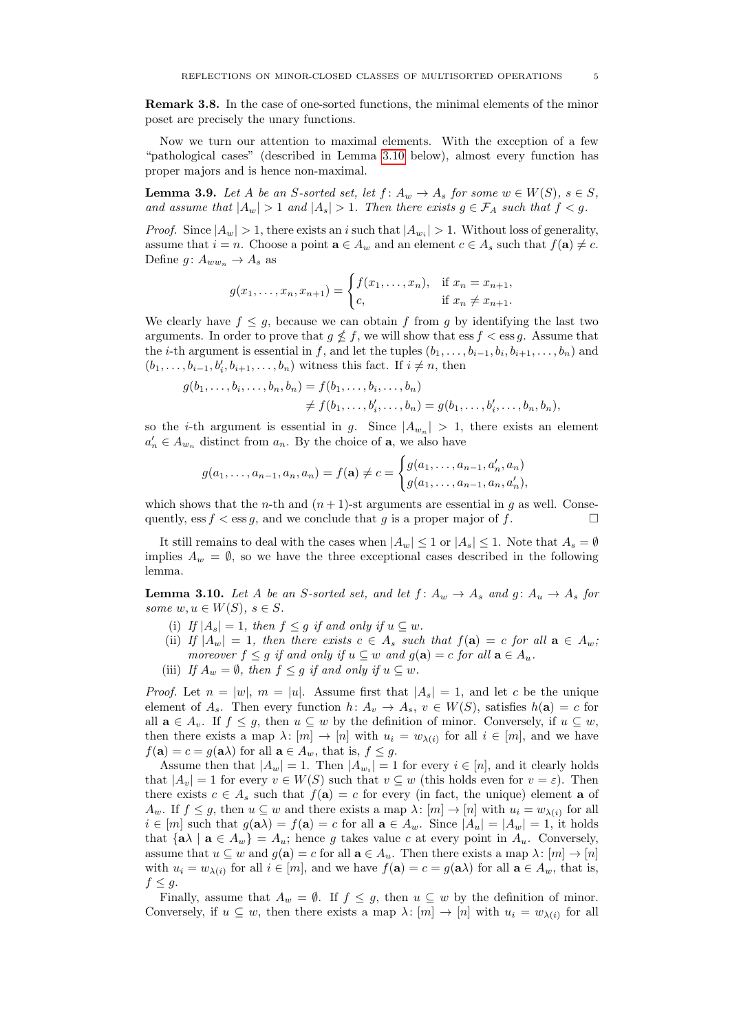Remark 3.8. In the case of one-sorted functions, the minimal elements of the minor poset are precisely the unary functions.

Now we turn our attention to maximal elements. With the exception of a few "pathological cases" (described in Lemma [3.10](#page-4-0) below), almost every function has proper majors and is hence non-maximal.

<span id="page-4-1"></span>**Lemma 3.9.** Let A be an S-sorted set, let  $f: A_w \to A_s$  for some  $w \in W(S)$ ,  $s \in S$ , and assume that  $|A_w| > 1$  and  $|A_s| > 1$ . Then there exists  $g \in \mathcal{F}_A$  such that  $f < g$ .

*Proof.* Since  $|A_w| > 1$ , there exists an i such that  $|A_{w_i}| > 1$ . Without loss of generality, assume that  $i = n$ . Choose a point  $\mathbf{a} \in A_w$  and an element  $c \in A_s$  such that  $f(\mathbf{a}) \neq c$ . Define  $g: A_{ww_n} \to A_s$  as

$$
g(x_1, ..., x_n, x_{n+1}) = \begin{cases} f(x_1, ..., x_n), & \text{if } x_n = x_{n+1}, \\ c, & \text{if } x_n \neq x_{n+1}. \end{cases}
$$

We clearly have  $f \leq g$ , because we can obtain f from g by identifying the last two arguments. In order to prove that  $g \nleq f$ , we will show that ess  $f <$  ess g. Assume that the *i*-th argument is essential in f, and let the tuples  $(b_1, \ldots, b_{i-1}, b_i, b_{i+1}, \ldots, b_n)$  and  $(b_1, \ldots, b_{i-1}, b'_i, b_{i+1}, \ldots, b_n)$  witness this fact. If  $i \neq n$ , then

$$
g(b_1, ..., b_i, ..., b_n, b_n) = f(b_1, ..., b_i, ..., b_n)
$$
  

$$
\neq f(b_1, ..., b'_i, ..., b_n) = g(b_1, ..., b'_i, ..., b_n, b_n),
$$

so the *i*-th argument is essential in g. Since  $|A_{w_n}| > 1$ , there exists an element  $a'_n \in A_{w_n}$  distinct from  $a_n$ . By the choice of **a**, we also have

$$
g(a_1, \ldots, a_{n-1}, a_n, a_n) = f(\mathbf{a}) \neq c = \begin{cases} g(a_1, \ldots, a_{n-1}, a'_n, a_n) \\ g(a_1, \ldots, a_{n-1}, a_n, a'_n), \end{cases}
$$

which shows that the *n*-th and  $(n+1)$ -st arguments are essential in g as well. Consequently, ess  $f <$ ess g, and we conclude that g is a proper major of f.

It still remains to deal with the cases when  $|A_w| \leq 1$  or  $|A_s| \leq 1$ . Note that  $A_s = \emptyset$ implies  $A_w = \emptyset$ , so we have the three exceptional cases described in the following lemma.

<span id="page-4-0"></span>**Lemma 3.10.** Let A be an S-sorted set, and let  $f: A_w \to A_s$  and  $g: A_u \to A_s$  for some  $w, u \in W(S), s \in S$ .

- (i) If  $|A_s| = 1$ , then  $f \leq g$  if and only if  $u \subseteq w$ .
- (ii) If  $|A_w| = 1$ , then there exists  $c \in A_s$  such that  $f(\mathbf{a}) = c$  for all  $\mathbf{a} \in A_w$ ; moreover  $f \leq g$  if and only if  $u \subseteq w$  and  $g(\mathbf{a}) = c$  for all  $\mathbf{a} \in A_u$ .
- <span id="page-4-2"></span>(iii) If  $A_w = \emptyset$ , then  $f \leq g$  if and only if  $u \subseteq w$ .

*Proof.* Let  $n = |w|$ ,  $m = |u|$ . Assume first that  $|A_s| = 1$ , and let c be the unique element of  $A_s$ . Then every function  $h: A_v \to A_s$ ,  $v \in W(S)$ , satisfies  $h(\mathbf{a}) = c$  for all  $\mathbf{a} \in A_v$ . If  $f \leq g$ , then  $u \subseteq w$  by the definition of minor. Conversely, if  $u \subseteq w$ , then there exists a map  $\lambda: [m] \to [n]$  with  $u_i = w_{\lambda(i)}$  for all  $i \in [m]$ , and we have  $f(\mathbf{a}) = c = g(\mathbf{a}\lambda)$  for all  $\mathbf{a} \in A_w$ , that is,  $f \leq g$ .

Assume then that  $|A_w| = 1$ . Then  $|A_{w_i}| = 1$  for every  $i \in [n]$ , and it clearly holds that  $|A_v| = 1$  for every  $v \in W(S)$  such that  $v \subseteq w$  (this holds even for  $v = \varepsilon$ ). Then there exists  $c \in A_s$  such that  $f(\mathbf{a}) = c$  for every (in fact, the unique) element **a** of  $A_w$ . If  $f \leq g$ , then  $u \subseteq w$  and there exists a map  $\lambda: [m] \to [n]$  with  $u_i = w_{\lambda(i)}$  for all  $i \in [m]$  such that  $g(\mathbf{a}) = f(\mathbf{a}) = c$  for all  $\mathbf{a} \in A_w$ . Since  $|A_u| = |A_w| = 1$ , it holds that  $\{a\lambda \mid a \in A_w\} = A_u$ ; hence g takes value c at every point in  $A_u$ . Conversely, assume that  $u \subseteq w$  and  $g(\mathbf{a}) = c$  for all  $\mathbf{a} \in A_u$ . Then there exists a map  $\lambda : [m] \to [n]$ with  $u_i = w_{\lambda(i)}$  for all  $i \in [m]$ , and we have  $f(\mathbf{a}) = c = g(\mathbf{a}\lambda)$  for all  $\mathbf{a} \in A_w$ , that is,  $f \leq g$ .

Finally, assume that  $A_w = \emptyset$ . If  $f \leq g$ , then  $u \subseteq w$  by the definition of minor. Conversely, if  $u \subseteq w$ , then there exists a map  $\lambda: [m] \to [n]$  with  $u_i = w_{\lambda(i)}$  for all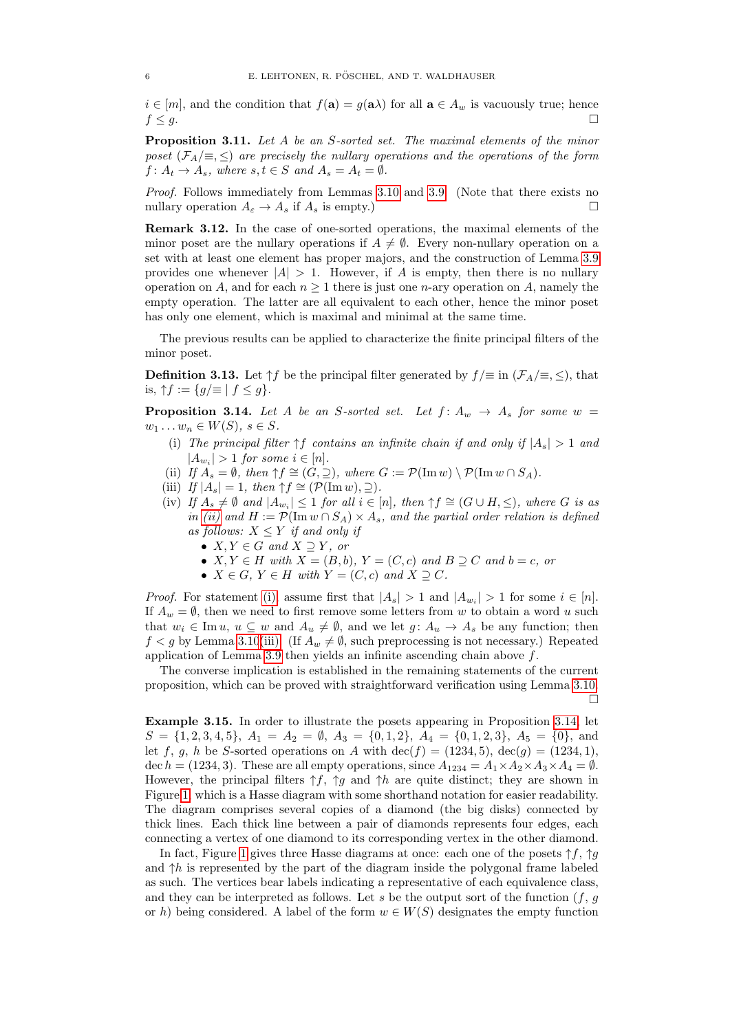$i \in [m]$ , and the condition that  $f(\mathbf{a}) = g(\mathbf{a}\lambda)$  for all  $\mathbf{a} \in A_w$  is vacuously true; hence  $f \leq g$ .

Proposition 3.11. Let A be an S-sorted set. The maximal elements of the minor poset  $(\mathcal{F}_A/\equiv, \leq)$  are precisely the nullary operations and the operations of the form  $f: A_t \to A_s$ , where  $s, t \in S$  and  $A_s = A_t = \emptyset$ .

Proof. Follows immediately from Lemmas [3.10](#page-4-0) and [3.9.](#page-4-1) (Note that there exists no nullary operation  $A_{\varepsilon} \to A_s$  if  $A_s$  is empty.)

Remark 3.12. In the case of one-sorted operations, the maximal elements of the minor poset are the nullary operations if  $A \neq \emptyset$ . Every non-nullary operation on a set with at least one element has proper majors, and the construction of Lemma [3.9](#page-4-1) provides one whenever  $|A| > 1$ . However, if A is empty, then there is no nullary operation on A, and for each  $n \geq 1$  there is just one *n*-ary operation on A, namely the empty operation. The latter are all equivalent to each other, hence the minor poset has only one element, which is maximal and minimal at the same time.

The previous results can be applied to characterize the finite principal filters of the minor poset.

**Definition 3.13.** Let  $\uparrow f$  be the principal filter generated by  $f/\equiv$  in  $(\mathcal{F}_A/\equiv, \leq)$ , that is,  $\uparrow f := \{g/\equiv | f \leq g\}.$ 

<span id="page-5-2"></span>**Proposition 3.14.** Let A be an S-sorted set. Let  $f: A_w \rightarrow A_s$  for some  $w =$  $w_1 \ldots w_n \in W(S), s \in S.$ 

- <span id="page-5-1"></span>(i) The principal filter  $\uparrow f$  contains an infinite chain if and only if  $|A_s| > 1$  and  $|A_{w_i}| > 1$  for some  $i \in [n]$ .
- <span id="page-5-0"></span>(ii) If  $A_s = \emptyset$ , then  $\uparrow f \cong (G, \supseteq)$ , where  $G := \mathcal{P}(\text{Im } w) \setminus \mathcal{P}(\text{Im } w \cap S_A)$ .
- (iii) If  $|A_s| = 1$ , then  $\uparrow f \cong (\mathcal{P}(\text{Im } w), 2)$ .
- (iv) If  $A_s \neq \emptyset$  and  $|A_{w_i}| \leq 1$  for all  $i \in [n]$ , then  $\uparrow f \cong (G \cup H, \leq)$ , where G is as in [\(ii\)](#page-5-0) and  $H := \mathcal{P}(\text{Im } w \cap S_A) \times A_s$ , and the partial order relation is defined as follows:  $X \leq Y$  if and only if
	- $X, Y \in G$  and  $X \supset Y$ , or
	- $X, Y \in H$  with  $X = (B, b), Y = (C, c)$  and  $B \supseteq C$  and  $b = c$ , or
	- $X \in G$ ,  $Y \in H$  with  $Y = (C, c)$  and  $X \supseteq C$ .

*Proof.* For statement [\(i\),](#page-5-1) assume first that  $|A_s| > 1$  and  $|A_{w_i}| > 1$  for some  $i \in [n]$ . If  $A_w = \emptyset$ , then we need to first remove some letters from w to obtain a word u such that  $w_i \in \text{Im } u$ ,  $u \subseteq w$  and  $A_u \neq \emptyset$ , and we let  $g: A_u \to A_s$  be any function; then  $f < g$  by Lemma [3.10](#page-4-0)[\(iii\).](#page-4-2) (If  $A_w \neq \emptyset$ , such preprocessing is not necessary.) Repeated application of Lemma [3.9](#page-4-1) then yields an infinite ascending chain above f.

The converse implication is established in the remaining statements of the current proposition, which can be proved with straightforward verification using Lemma [3.10.](#page-4-0) П

<span id="page-5-3"></span>Example 3.15. In order to illustrate the posets appearing in Proposition [3.14,](#page-5-2) let  $S = \{1, 2, 3, 4, 5\}, A_1 = A_2 = \emptyset, A_3 = \{0, 1, 2\}, A_4 = \{0, 1, 2, 3\}, A_5 = \{0\}, \text{ and }$ let f, g, h be S-sorted operations on A with  $\text{dec}(f) = (1234, 5)$ ,  $\text{dec}(g) = (1234, 1)$ , dec  $h = (1234, 3)$ . These are all empty operations, since  $A_{1234} = A_1 \times A_2 \times A_3 \times A_4 = \emptyset$ . However, the principal filters  $\uparrow f$ ,  $\uparrow g$  and  $\uparrow h$  are quite distinct; they are shown in Figure [1,](#page-6-1) which is a Hasse diagram with some shorthand notation for easier readability. The diagram comprises several copies of a diamond (the big disks) connected by thick lines. Each thick line between a pair of diamonds represents four edges, each connecting a vertex of one diamond to its corresponding vertex in the other diamond.

In fact, Figure [1](#page-6-1) gives three Hasse diagrams at once: each one of the posets  $\uparrow f$ ,  $\uparrow g$ and  $\uparrow h$  is represented by the part of the diagram inside the polygonal frame labeled as such. The vertices bear labels indicating a representative of each equivalence class, and they can be interpreted as follows. Let s be the output sort of the function  $(f, g)$ or h) being considered. A label of the form  $w \in W(S)$  designates the empty function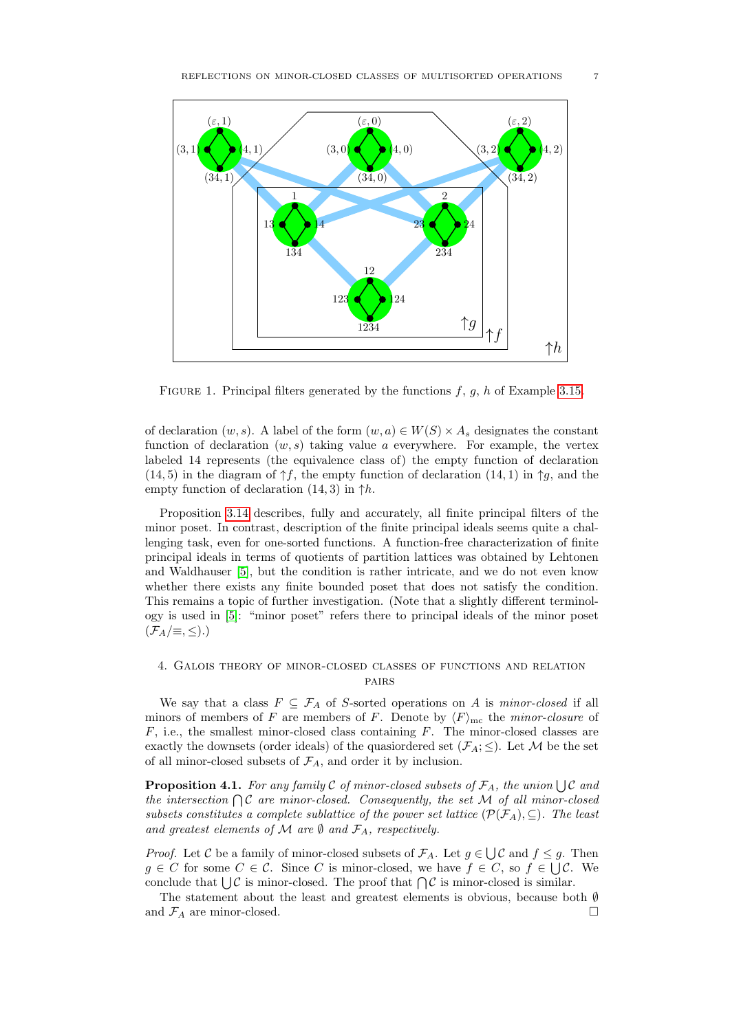

<span id="page-6-1"></span>FIGURE 1. Principal filters generated by the functions  $f, g, h$  of Example [3.15.](#page-5-3)

of declaration  $(w, s)$ . A label of the form  $(w, a) \in W(S) \times A_s$  designates the constant function of declaration  $(w, s)$  taking value a everywhere. For example, the vertex labeled 14 represents (the equivalence class of) the empty function of declaration (14, 5) in the diagram of  $\uparrow f$ , the empty function of declaration (14, 1) in  $\uparrow q$ , and the empty function of declaration  $(14, 3)$  in  $\uparrow h$ .

Proposition [3.14](#page-5-2) describes, fully and accurately, all finite principal filters of the minor poset. In contrast, description of the finite principal ideals seems quite a challenging task, even for one-sorted functions. A function-free characterization of finite principal ideals in terms of quotients of partition lattices was obtained by Lehtonen and Waldhauser [\[5\]](#page-13-4), but the condition is rather intricate, and we do not even know whether there exists any finite bounded poset that does not satisfy the condition. This remains a topic of further investigation. (Note that a slightly different terminology is used in [\[5\]](#page-13-4): "minor poset" refers there to principal ideals of the minor poset  $(\mathcal{F}_A/\equiv,\leq).$ 

# <span id="page-6-0"></span>4. Galois theory of minor-closed classes of functions and relation pairs

We say that a class  $F \subseteq \mathcal{F}_A$  of S-sorted operations on A is minor-closed if all minors of members of F are members of F. Denote by  $\langle F \rangle_{\text{mc}}$  the minor-closure of  $F$ , i.e., the smallest minor-closed class containing  $F$ . The minor-closed classes are exactly the downsets (order ideals) of the quasiordered set  $(\mathcal{F}_A; \leq)$ . Let M be the set of all minor-closed subsets of  $\mathcal{F}_A$ , and order it by inclusion.

**Proposition 4.1.** For any family C of minor-closed subsets of  $\mathcal{F}_A$ , the union  $\bigcup \mathcal{C}$  and the intersection  $\bigcap \mathcal{C}$  are minor-closed. Consequently, the set M of all minor-closed subsets constitutes a complete sublattice of the power set lattice  $(\mathcal{P}(\mathcal{F}_A), \subseteq)$ . The least and greatest elements of M are  $\emptyset$  and  $\mathcal{F}_A$ , respectively.

*Proof.* Let C be a family of minor-closed subsets of  $\mathcal{F}_A$ . Let  $g \in \bigcup \mathcal{C}$  and  $f \leq g$ . Then  $g \in C$  for some  $C \in \mathcal{C}$ . Since C is minor-closed, we have  $f \in C$ , so  $f \in \bigcup \mathcal{C}$ . We conclude that  $\bigcup \mathcal{C}$  is minor-closed. The proof that  $\bigcap \mathcal{C}$  is minor-closed is similar.

The statement about the least and greatest elements is obvious, because both ∅ and  $\mathcal{F}_A$  are minor-closed.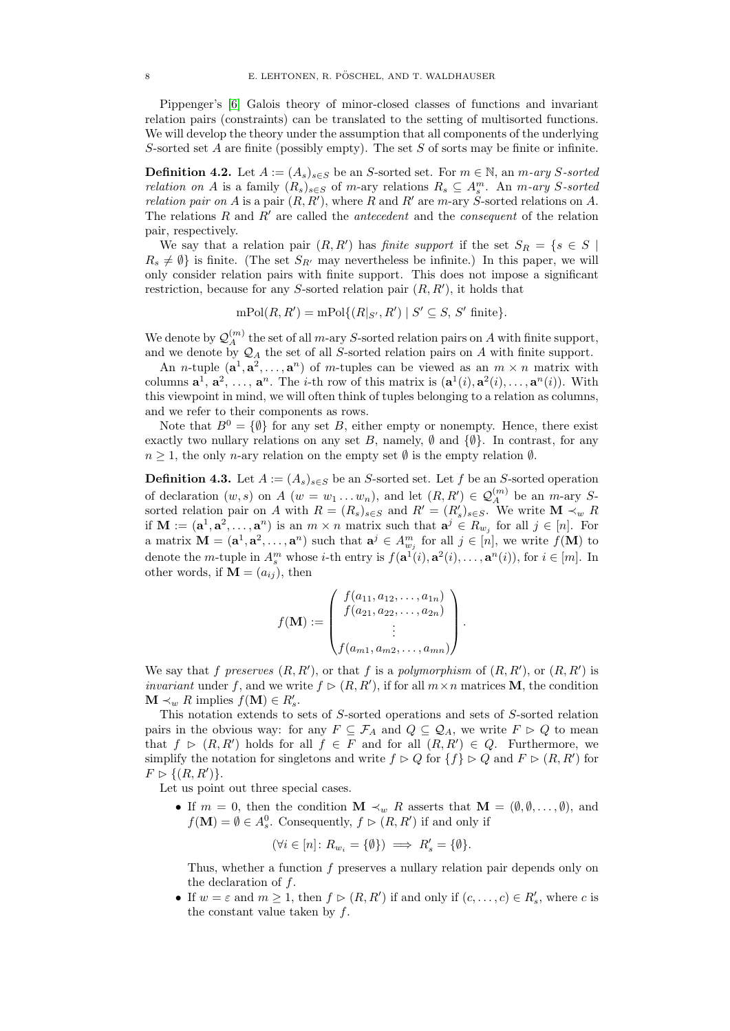Pippenger's [\[6\]](#page-13-0) Galois theory of minor-closed classes of functions and invariant relation pairs (constraints) can be translated to the setting of multisorted functions. We will develop the theory under the assumption that all components of the underlying S-sorted set  $A$  are finite (possibly empty). The set  $S$  of sorts may be finite or infinite.

**Definition 4.2.** Let  $A := (A_s)_{s \in S}$  be an S-sorted set. For  $m \in \mathbb{N}$ , an  $m$ -ary S-sorted *relation on A* is a family  $(R_s)_{s \in S}$  of m-ary relations  $R_s \subseteq A_s^m$ . An m-ary S-sorted relation pair on A is a pair  $(R, R')$ , where R and R' are m-ary S-sorted relations on A. The relations R and  $R'$  are called the *antecedent* and the *consequent* of the relation pair, respectively.

We say that a relation pair  $(R, R')$  has finite support if the set  $S_R = \{s \in S \mid$  $R_s \neq \emptyset$  is finite. (The set  $S_{R'}$  may nevertheless be infinite.) In this paper, we will only consider relation pairs with finite support. This does not impose a significant restriction, because for any S-sorted relation pair  $(R, R')$ , it holds that

 $mPol(R, R') = mPol\{(R|_{S'}, R') | S' \subseteq S, S' \text{ finite}\}.$ 

We denote by  $\mathcal{Q}_A^{(m)}$  the set of all m-ary S-sorted relation pairs on A with finite support, and we denote by  $\mathcal{Q}_A$  the set of all S-sorted relation pairs on A with finite support.

An *n*-tuple  $(\mathbf{a}^1, \mathbf{a}^2, \dots, \mathbf{a}^n)$  of *m*-tuples can be viewed as an  $m \times n$  matrix with columns  $\mathbf{a}^1, \mathbf{a}^2, \ldots, \mathbf{a}^n$ . The *i*-th row of this matrix is  $(\mathbf{a}^1(i), \mathbf{a}^2(i), \ldots, \mathbf{a}^n(i))$ . With this viewpoint in mind, we will often think of tuples belonging to a relation as columns, and we refer to their components as rows.

Note that  $B^0 = \{\emptyset\}$  for any set B, either empty or nonempty. Hence, there exist exactly two nullary relations on any set B, namely,  $\emptyset$  and  $\{\emptyset\}$ . In contrast, for any  $n \geq 1$ , the only *n*-ary relation on the empty set  $\emptyset$  is the empty relation  $\emptyset$ .

**Definition 4.3.** Let  $A := (A_s)_{s \in S}$  be an S-sorted set. Let f be an S-sorted operation of declaration  $(w, s)$  on A  $(w = w_1 ... w_n)$ , and let  $(R, R') \in \mathcal{Q}_A^{(m)}$  be an *m*-ary Ssorted relation pair on A with  $R = (R_s)_{s \in S}$  and  $R' = (R'_s)_{s \in S}$ . We write  $\mathbf{M} \prec_w R$ if  $\mathbf{M} := (\mathbf{a}^1, \mathbf{a}^2, \dots, \mathbf{a}^n)$  is an  $m \times n$  matrix such that  $\mathbf{a}^j \in R_{w_j}$  for all  $j \in [n]$ . For a matrix  $\mathbf{M} = (\mathbf{a}^1, \mathbf{a}^2, \dots, \mathbf{a}^n)$  such that  $\mathbf{a}^j \in A^m_{w_j}$  for all  $j \in [n]$ , we write  $f(\mathbf{M})$  to denote the *m*-tuple in  $A_s^m$  whose *i*-th entry is  $f(\mathbf{a}^1(i), \mathbf{a}^2(i), \ldots, \mathbf{a}^n(i))$ , for  $i \in [m]$ . In other words, if  $\mathbf{M} = (a_{ij})$ , then

$$
f(\mathbf{M}) := \begin{pmatrix} f(a_{11}, a_{12}, \dots, a_{1n}) \\ f(a_{21}, a_{22}, \dots, a_{2n}) \\ \vdots \\ f(a_{m1}, a_{m2}, \dots, a_{mn}) \end{pmatrix}.
$$

We say that f preserves  $(R, R')$ , or that f is a polymorphism of  $(R, R')$ , or  $(R, R')$  is *invariant* under f, and we write  $f \triangleright (R, R')$ , if for all  $m \times n$  matrices **M**, the condition  $\mathbf{M} \prec_w R$  implies  $f(\mathbf{M}) \in R'_s$ .

This notation extends to sets of S-sorted operations and sets of S-sorted relation pairs in the obvious way: for any  $F \subseteq \mathcal{F}_A$  and  $Q \subseteq \mathcal{Q}_A$ , we write  $F \supset Q$  to mean that  $f \triangleright (R, R')$  holds for all  $f \in F$  and for all  $(R, R') \in Q$ . Furthermore, we simplify the notation for singletons and write  $f \triangleright Q$  for  $\{f\} \triangleright Q$  and  $F \triangleright (R, R')$  for  $F \triangleright \{(R, R')\}.$ 

Let us point out three special cases.

• If  $m = 0$ , then the condition  $\mathbf{M} \prec_w R$  asserts that  $\mathbf{M} = (\emptyset, \emptyset, \dots, \emptyset)$ , and  $f(\mathbf{M}) = \emptyset \in A_s^0$ . Consequently,  $f \supset (R, R')$  if and only if

$$
(\forall i \in [n] \colon R_{w_i} = \{\emptyset\}) \implies R'_s = \{\emptyset\}.
$$

Thus, whether a function f preserves a nullary relation pair depends only on the declaration of f.

• If  $w = \varepsilon$  and  $m \ge 1$ , then  $f \triangleright (R, R')$  if and only if  $(c, \ldots, c) \in R'_s$ , where c is the constant value taken by  $f$ .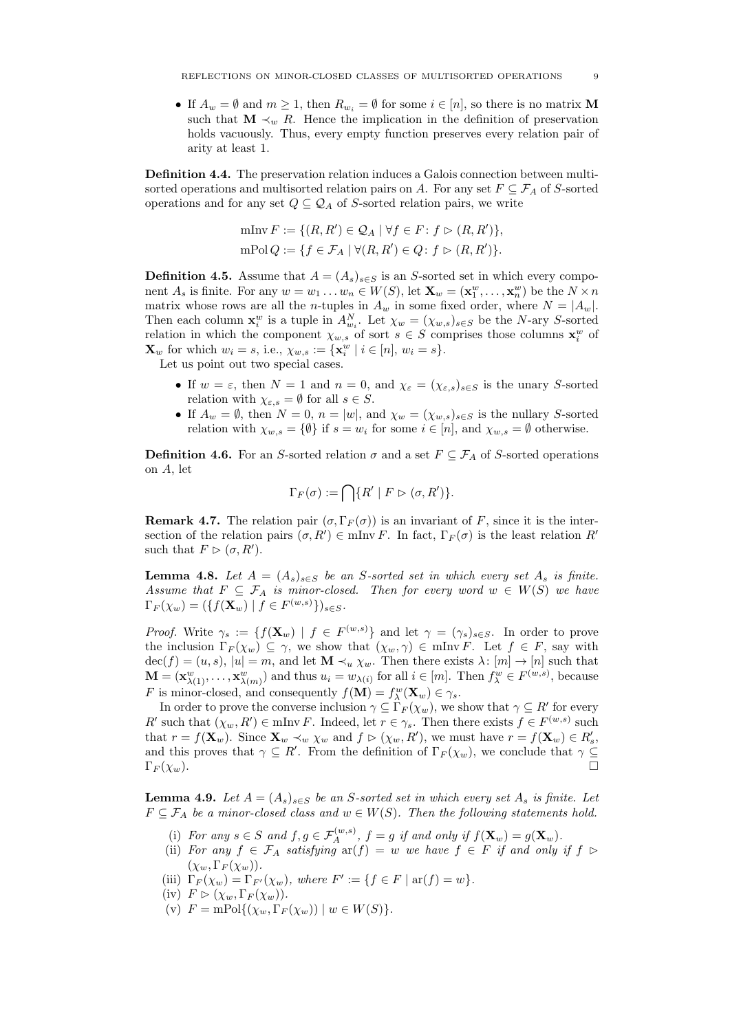• If  $A_w = \emptyset$  and  $m \geq 1$ , then  $R_{w_i} = \emptyset$  for some  $i \in [n]$ , so there is no matrix M such that  $\mathbf{M} \prec_w R$ . Hence the implication in the definition of preservation holds vacuously. Thus, every empty function preserves every relation pair of arity at least 1.

Definition 4.4. The preservation relation induces a Galois connection between multisorted operations and multisorted relation pairs on A. For any set  $F \subseteq \mathcal{F}_A$  of S-sorted operations and for any set  $Q \subseteq Q_A$  of S-sorted relation pairs, we write

$$
\begin{aligned} \text{mlnv } F &:= \{ (R, R') \in \mathcal{Q}_A \mid \forall f \in F : f \rhd (R, R') \}, \\ \text{mPol } Q &:= \{ f \in \mathcal{F}_A \mid \forall (R, R') \in Q : f \rhd (R, R') \}. \end{aligned}
$$

**Definition 4.5.** Assume that  $A = (A_s)_{s \in S}$  is an S-sorted set in which every component  $A_s$  is finite. For any  $w = w_1 \dots w_n \in W(S)$ , let  $\mathbf{X}_w = (\mathbf{x}_1^w, \dots, \mathbf{x}_n^w)$  be the  $N \times n$ matrix whose rows are all the *n*-tuples in  $A_w$  in some fixed order, where  $N = |A_w|$ . Then each column  $\mathbf{x}_i^w$  is a tuple in  $A_{w_i}^N$ . Let  $\chi_w = (\chi_{w,s})_{s \in S}$  be the N-ary S-sorted First each column  $\mathbf{x}_i$  is a tuple in  $A_{w_i}$ . Let  $\chi_w - (\chi_{w,s})_{s \in S}$  be the *N*-ary *S*-sorted<br>relation in which the component  $\chi_{w,s}$  of sort  $s \in S$  comprises those columns  $\mathbf{x}_i^w$  of  $\mathbf{X}_w$  for which  $w_i = s$ , i.e.,  $\chi_{w,s} := {\mathbf{x}_i^w \mid i \in [n], w_i = s}.$ 

Let us point out two special cases.

- If  $w = \varepsilon$ , then  $N = 1$  and  $n = 0$ , and  $\chi_{\varepsilon} = (\chi_{\varepsilon,s})_{s \in S}$  is the unary S-sorted relation with  $\chi_{\varepsilon,s} = \emptyset$  for all  $s \in S$ .
- If  $A_w = \emptyset$ , then  $N = 0$ ,  $n = |w|$ , and  $\chi_w = (\chi_{w,s})_{s \in S}$  is the nullary S-sorted relation with  $\chi_{w,s} = \{\emptyset\}$  if  $s = w_i$  for some  $i \in [n]$ , and  $\chi_{w,s} = \emptyset$  otherwise.

**Definition 4.6.** For an S-sorted relation  $\sigma$  and a set  $F \subseteq \mathcal{F}_A$  of S-sorted operations on A, let

$$
\Gamma_F(\sigma) := \bigcap \{ R' \mid F \rhd (\sigma, R') \}.
$$

<span id="page-8-0"></span>**Remark 4.7.** The relation pair  $(\sigma, \Gamma_F(\sigma))$  is an invariant of F, since it is the intersection of the relation pairs  $(\sigma, R') \in \text{mlnv } F$ . In fact,  $\Gamma_F(\sigma)$  is the least relation  $R'$ such that  $F \triangleright (\sigma, R').$ 

<span id="page-8-1"></span>**Lemma 4.8.** Let  $A = (A_s)_{s \in S}$  be an S-sorted set in which every set  $A_s$  is finite. Assume that  $F \subseteq \mathcal{F}_A$  is minor-closed. Then for every word  $w \in W(S)$  we have  $\Gamma_F(\chi_w) = (\{f(\mathbf{X}_w) \mid f \in F^{(w,s)}\})_{s \in S}.$ 

*Proof.* Write  $\gamma_s := \{f(\mathbf{X}_w) \mid f \in F^{(w,s)}\}\$ and let  $\gamma = (\gamma_s)_{s \in S}$ . In order to prove the inclusion  $\Gamma_F(\chi_w) \subseteq \gamma$ , we show that  $(\chi_w, \gamma) \in \text{mlnv } F$ . Let  $f \in F$ , say with  $dec(f) = (u, s), |u| = m$ , and let  $\mathbf{M} \prec_u \chi_w$ . Then there exists  $\lambda : [m] \to [n]$  such that  $\mathbf{M} = (\mathbf{x}_{\lambda(1)}^w, \dots, \mathbf{x}_{\lambda(m)}^w)$  and thus  $u_i = w_{\lambda(i)}$  for all  $i \in [m]$ . Then  $f_{\lambda}^w \in F^{(w,s)}$ , because F is minor-closed, and consequently  $f(\mathbf{M}) = f_{\lambda}^{w}(\mathbf{X}_{w}) \in \gamma_{s}$ .

In order to prove the converse inclusion  $\gamma \subseteq \Gamma_F(\chi_w)$ , we show that  $\gamma \subseteq R'$  for every  $R'$  such that  $(\chi_w, R') \in \text{mlnv } F$ . Indeed, let  $r \in \gamma_s$ . Then there exists  $f \in F^{(w,s)}$  such that  $r = f(\mathbf{X}_w)$ . Since  $\mathbf{X}_w \prec_w \chi_w$  and  $f \rhd (\chi_w, R')$ , we must have  $r = f(\mathbf{X}_w) \in R'_s$ , and this proves that  $\gamma \subseteq R'$ . From the definition of  $\Gamma_F(\chi_w)$ , we conclude that  $\gamma \subseteq$  $\Gamma_F(\chi_w)$ .

<span id="page-8-5"></span>**Lemma 4.9.** Let  $A = (A_s)_{s \in S}$  be an S-sorted set in which every set  $A_s$  is finite. Let  $F \subseteq \mathcal{F}_A$  be a minor-closed class and  $w \in W(S)$ . Then the following statements hold.

- <span id="page-8-2"></span>(i) For any  $s \in S$  and  $f, g \in \mathcal{F}_A^{(w,s)}$ ,  $f = g$  if and only if  $f(\mathbf{X}_w) = g(\mathbf{X}_w)$ .
- <span id="page-8-3"></span>(ii) For any  $f \in \mathcal{F}_A$  satisfying  $ar(f) = w$  we have  $f \in F$  if and only if  $f \in \mathcal{F}$  $(\chi_w, \Gamma_F(\chi_w)).$
- (iii)  $\Gamma_F(\chi_w) = \Gamma_{F'}(\chi_w)$ , where  $F' := \{ f \in F \mid \text{ar}(f) = w \}.$
- <span id="page-8-4"></span>(iv)  $F \triangleright (\chi_w, \Gamma_F(\chi_w))$ .
- (v)  $F = mPol\{(\chi_w, \Gamma_F(\chi_w)) \mid w \in W(S)\}.$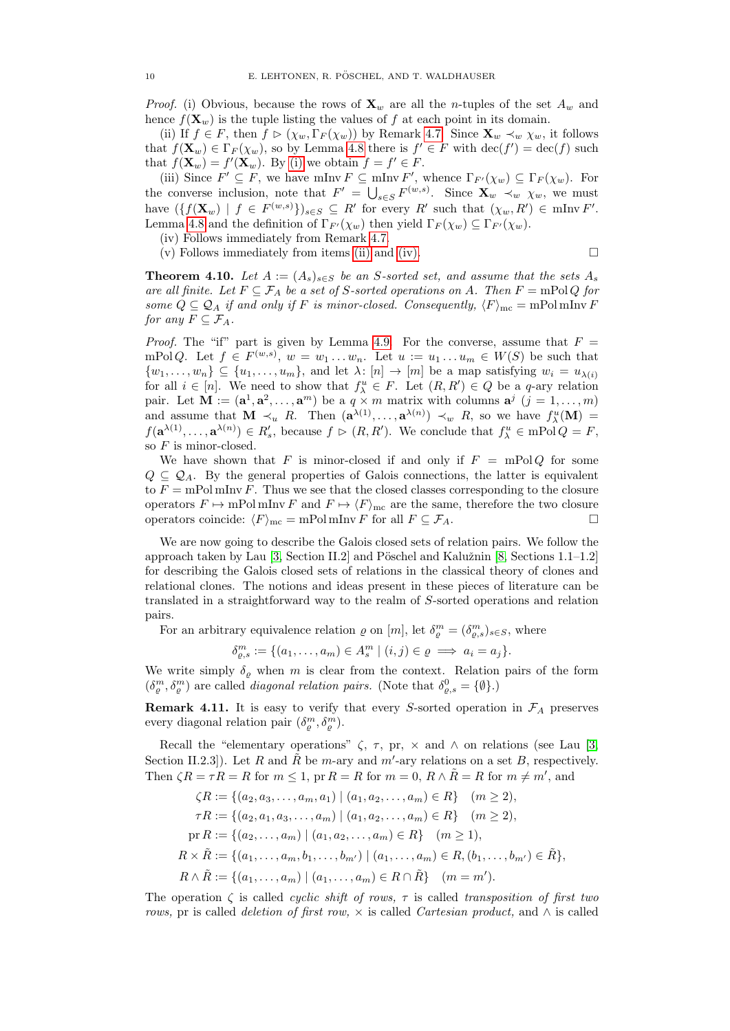*Proof.* (i) Obvious, because the rows of  $\mathbf{X}_w$  are all the *n*-tuples of the set  $A_w$  and hence  $f(\mathbf{X}_w)$  is the tuple listing the values of f at each point in its domain.

(ii) If  $f \in F$ , then  $f \triangleright (\chi_w, \Gamma_F(\chi_w))$  by Remark [4.7.](#page-8-0) Since  $\mathbf{X}_w \prec_w \chi_w$ , it follows that  $f(\mathbf{X}_w) \in \Gamma_F(\chi_w)$ , so by Lemma [4.8](#page-8-1) there is  $f' \in F$  with  $\text{dec}(f') = \text{dec}(f)$  such that  $f(\mathbf{X}_w) = f'(\mathbf{X}_w)$ . By [\(i\)](#page-8-2) we obtain  $f = f' \in F$ .

(iii) Since  $F' \subseteq F$ , we have mInv  $F \subseteq$  mInv  $F'$ , whence  $\Gamma_{F'}(\chi_w) \subseteq \Gamma_F(\chi_w)$ . For the converse inclusion, note that  $F' = \bigcup_{s \in S} F^{(w,s)}$ . Since  $\mathbf{X}_w \prec_w \chi_w$ , we must have  $(\{f(\mathbf{X}_w) \mid f \in F^{(w,s)}\})_{s \in S} \subseteq R'$  for every R' such that  $(\chi_w, R') \in \text{mlnv } F'.$ Lemma [4.8](#page-8-1) and the definition of  $\Gamma_{F'}(\chi_w)$  then yield  $\Gamma_F(\chi_w) \subseteq \Gamma_{F'}(\chi_w)$ .

(iv) Follows immediately from Remark [4.7.](#page-8-0)

(v) Follows immediately from items [\(ii\)](#page-8-3) and [\(iv\).](#page-8-4)  $\Box$ 

<span id="page-9-0"></span>**Theorem 4.10.** Let  $A := (A_s)_{s \in S}$  be an S-sorted set, and assume that the sets  $A_s$ are all finite. Let  $F \subseteq \mathcal{F}_A$  be a set of S-sorted operations on A. Then  $F = \text{mPol }Q$  for some  $Q \subseteq Q_A$  if and only if F is minor-closed. Consequently,  $\langle F \rangle_{\text{mc}} = \text{mPol}\,\text{mlnv}\,F$ for any  $F \subseteq \mathcal{F}_A$ .

*Proof.* The "if" part is given by Lemma [4.9.](#page-8-5) For the converse, assume that  $F =$ mPolQ. Let  $f \in F^{(w,s)}$ ,  $w = w_1 \dots w_n$ . Let  $u := u_1 \dots u_m \in W(S)$  be such that  $\{w_1,\ldots,w_n\}\subseteq \{u_1,\ldots,u_m\}$ , and let  $\lambda: [n] \to [m]$  be a map satisfying  $w_i = u_{\lambda(i)}$ for all  $i \in [n]$ . We need to show that  $f_{\lambda}^u \in F$ . Let  $(R, R') \in Q$  be a q-ary relation pair. Let  $\mathbf{M} := (\mathbf{a}^1, \mathbf{a}^2, \dots, \mathbf{a}^m)$  be a  $q \times m$  matrix with columns  $\mathbf{a}^j$   $(j = 1, \dots, m)$ and assume that  $\mathbf{M} \prec_u R$ . Then  $(\mathbf{a}^{\lambda(1)}, \ldots, \mathbf{a}^{\lambda(n)}) \prec_w R$ , so we have  $f^n_{\lambda}(\mathbf{M}) =$  $f(\mathbf{a}^{\lambda(1)},...,\mathbf{a}^{\lambda(n)}) \in R'_s$ , because  $f \triangleright (R, R')$ . We conclude that  $f_{\lambda}^u \in \mathrm{mPol}\,Q = F$ , so  $F$  is minor-closed.

We have shown that F is minor-closed if and only if  $F = mPolQ$  for some  $Q \subseteq Q_A$ . By the general properties of Galois connections, the latter is equivalent to  $F = \text{mPol }\text{mlnv } F$ . Thus we see that the closed classes corresponding to the closure operators  $F \mapsto \text{mPol}\,\text{mlnv}\, F$  and  $F \mapsto \langle F \rangle_{\text{mc}}$  are the same, therefore the two closure operators coincide:  $\langle F \rangle_{\text{mc}} = \text{mPol} \text{mInv } F$  for all  $F \subseteq \mathcal{F}_A$ .

We are now going to describe the Galois closed sets of relation pairs. We follow the approach taken by Lau  $[3,$  Section II.2] and Pöschel and Kalužnin  $[8,$  Sections 1.1–1.2] for describing the Galois closed sets of relations in the classical theory of clones and relational clones. The notions and ideas present in these pieces of literature can be translated in a straightforward way to the realm of S-sorted operations and relation pairs.

For an arbitrary equivalence relation  $\varrho$  on  $[m]$ , let  $\delta_{\varrho}^{m} = (\delta_{\varrho,s}^{m})_{s \in S}$ , where

$$
\delta_{\varrho,s}^m := \{ (a_1, \ldots, a_m) \in A_s^m \mid (i,j) \in \varrho \implies a_i = a_j \}.
$$

We write simply  $\delta_{\varrho}$  when m is clear from the context. Relation pairs of the form  $(\delta^m_{\rho}, \delta^m_{\rho})$  are called *diagonal relation pairs.* (Note that  $\delta^0_{\rho,s} = \{\emptyset\}$ .)

**Remark 4.11.** It is easy to verify that every S-sorted operation in  $\mathcal{F}_A$  preserves every diagonal relation pair  $(\delta_{\varrho}^{m}, \delta_{\varrho}^{m})$ .

Recall the "elementary operations"  $\zeta$ ,  $\tau$ ,  $\eta$ ,  $\chi$  and  $\wedge$  on relations (see Lau [\[3,](#page-13-5) Section II.2.3.]). Let R and  $\tilde{R}$  be m-ary and m'-ary relations on a set B, respectively. Then  $\zeta R = \tau R = R$  for  $m \leq 1$ , pr  $R = R$  for  $m = 0$ ,  $R \wedge \tilde{R} = R$  for  $m \neq m'$ , and

$$
\zeta R := \{ (a_2, a_3, \dots, a_m, a_1) \mid (a_1, a_2, \dots, a_m) \in R \} \quad (m \ge 2),
$$
  
\n
$$
\tau R := \{ (a_2, a_1, a_3, \dots, a_m) \mid (a_1, a_2, \dots, a_m) \in R \} \quad (m \ge 2),
$$
  
\n
$$
\text{pr } R := \{ (a_2, \dots, a_m) \mid (a_1, a_2, \dots, a_m) \in R \} \quad (m \ge 1),
$$
  
\n
$$
R \times \tilde{R} := \{ (a_1, \dots, a_m, b_1, \dots, b_{m'}) \mid (a_1, \dots, a_m) \in R, (b_1, \dots, b_{m'}) \in \tilde{R} \},
$$
  
\n
$$
R \wedge \tilde{R} := \{ (a_1, \dots, a_m) \mid (a_1, \dots, a_m) \in R \cap \tilde{R} \} \quad (m = m').
$$

The operation  $\zeta$  is called *cyclic shift of rows*,  $\tau$  is called *transposition of first two* rows, pr is called *deletion of first row*,  $\times$  is called *Cartesian product*, and  $\wedge$  is called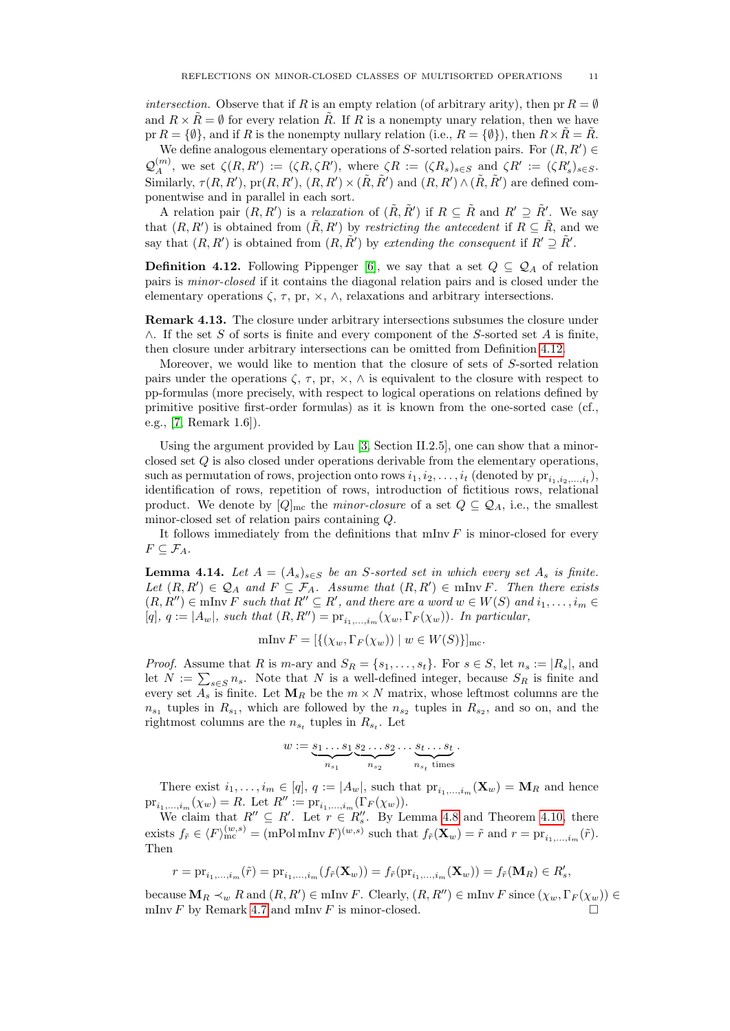intersection. Observe that if R is an empty relation (of arbitrary arity), then pr  $R = \emptyset$ and  $R \times \bar{R} = \emptyset$  for every relation  $\bar{R}$ . If R is a nonempty unary relation, then we have pr  $R = \{\emptyset\}$ , and if R is the nonempty nullary relation (i.e.,  $R = \{\emptyset\}$ ), then  $R \times \overline{R} = \overline{R}$ .

We define analogous elementary operations of S-sorted relation pairs. For  $(R, R') \in$  $\mathcal{Q}_{A}^{(m)}$ , we set  $\zeta(R,R') := (\zeta R, \zeta R')$ , where  $\zeta R := (\zeta R_s)_{s \in S}$  and  $\zeta R' := (\zeta R'_s)_{s \in S}$ . Similarly,  $\tau(R, R')$ ,  $pr(R, R')$ ,  $(R, R') \times (\tilde{R}, \tilde{R}')$  and  $(R, R') \wedge (\tilde{R}, \tilde{R}')$  are defined componentwise and in parallel in each sort.

A relation pair  $(R, R')$  is a *relaxation* of  $(\tilde{R}, \tilde{R}')$  if  $R \subseteq \tilde{R}$  and  $R' \supseteq \tilde{R}'$ . We say that  $(R, R')$  is obtained from  $(\tilde{R}, R')$  by restricting the antecedent if  $R \subseteq \tilde{R}$ , and we say that  $(R, R')$  is obtained from  $(R, \tilde{R}')$  by extending the consequent if  $R' \supseteq \tilde{R}'$ .

<span id="page-10-0"></span>**Definition 4.12.** Following Pippenger [\[6\]](#page-13-0), we say that a set  $Q \subseteq Q_A$  of relation pairs is minor-closed if it contains the diagonal relation pairs and is closed under the elementary operations  $\zeta$ ,  $\tau$ , pr,  $\times$ ,  $\wedge$ , relaxations and arbitrary intersections.

Remark 4.13. The closure under arbitrary intersections subsumes the closure under  $\wedge$ . If the set S of sorts is finite and every component of the S-sorted set A is finite, then closure under arbitrary intersections can be omitted from Definition [4.12.](#page-10-0)

Moreover, we would like to mention that the closure of sets of S-sorted relation pairs under the operations  $\zeta$ ,  $\tau$ ,  $\pi$ ,  $\times$ ,  $\wedge$  is equivalent to the closure with respect to pp-formulas (more precisely, with respect to logical operations on relations defined by primitive positive first-order formulas) as it is known from the one-sorted case (cf., e.g., [\[7,](#page-13-7) Remark 1.6]).

Using the argument provided by Lau [\[3,](#page-13-5) Section II.2.5], one can show that a minorclosed set Q is also closed under operations derivable from the elementary operations, such as permutation of rows, projection onto rows  $i_1, i_2, \ldots, i_t$  (denoted by  $\text{pr}_{i_1, i_2, \ldots, i_t}$ ), identification of rows, repetition of rows, introduction of fictitious rows, relational product. We denote by  $[Q]_{\text{mc}}$  the *minor-closure* of a set  $Q \subseteq Q_A$ , i.e., the smallest minor-closed set of relation pairs containing Q.

It follows immediately from the definitions that  $\min Y$  is minor-closed for every  $F \subseteq \mathcal{F}_A$ .

<span id="page-10-1"></span>**Lemma 4.14.** Let  $A = (A_s)_{s \in S}$  be an S-sorted set in which every set  $A_s$  is finite. Let  $(R, R') \in \mathcal{Q}_A$  and  $F \subseteq \mathcal{F}_A$ . Assume that  $(R, R') \in \text{mlnv } F$ . Then there exists  $(R, R'') \in \text{mlnv } F$  such that  $R'' \subseteq R'$ , and there are a word  $w \in W(S)$  and  $i_1, \ldots, i_m \in$ [q],  $q := |A_w|$ , such that  $(R, R'') = \mathrm{pr}_{i_1, \dots, i_m}(\chi_w, \Gamma_F(\chi_w))$ . In particular,

$$
\text{mInv } F = [\{(\chi_w, \Gamma_F(\chi_w)) \mid w \in W(S)\}]_{\text{mc}}.
$$

*Proof.* Assume that R is m-ary and  $S_R = \{s_1, \ldots, s_t\}$ . For  $s \in S$ , let  $n_s := |R_s|$ , and let  $N := \sum_{s \in S} n_s$ . Note that N is a well-defined integer, because  $S_R$  is finite and every set  $A_s$  is finite. Let  $\mathbf{M}_R$  be the  $m \times N$  matrix, whose leftmost columns are the  $n_{s_1}$  tuples in  $R_{s_1}$ , which are followed by the  $n_{s_2}$  tuples in  $R_{s_2}$ , and so on, and the rightmost columns are the  $n_{s_t}$  tuples in  $R_{s_t}$ . Let

$$
w := \underbrace{s_1 \dots s_1}_{n_{s_1}} \underbrace{s_2 \dots s_2}_{n_{s_2}} \dots \underbrace{s_t \dots s_t}_{n_{s_t} \text{ times}}.
$$

There exist  $i_1, \ldots, i_m \in [q], q := |A_w|$ , such that  ${\rm pr}_{i_1,\ldots,i_m}(\mathbf{X}_w) = \mathbf{M}_R$  and hence  $pr_{i_1,...,i_m}(\chi_w) = R.$  Let  $R'' := pr_{i_1,...,i_m}(\Gamma_F(\chi_w)).$ 

We claim that  $R'' \subseteq R'$ . Let  $r \in R''_s$ . By Lemma [4.8](#page-8-1) and Theorem [4.10,](#page-9-0) there exists  $f_{\tilde{r}} \in \langle F \rangle_{\text{mc}}^{(w,s)} = (\text{mPol }\text{mlnv } F)^{(w,s)}$  such that  $f_{\tilde{r}}(\mathbf{X}_w) = \tilde{r}$  and  $r = \text{pr}_{i_1,\dots,i_m}(\tilde{r}).$ Then

$$
r=\mathrm{pr}_{i_1,...,i_m}(\tilde{r})=\mathrm{pr}_{i_1,...,i_m}(f_{\tilde{r}}(\mathbf{X}_w))=f_{\tilde{r}}(\mathrm{pr}_{i_1,...,i_m}(\mathbf{X}_w))=f_{\tilde{r}}(\mathbf{M}_R)\in R'_s,
$$

because  $\mathbf{M}_R \prec_w R$  and  $(R, R') \in \text{mlnv } F$ . Clearly,  $(R, R'') \in \text{mlnv } F$  since  $(\chi_w, \Gamma_F(\chi_w)) \in$ mInv  $F$  by Remark [4.7](#page-8-0) and mInv  $F$  is minor-closed.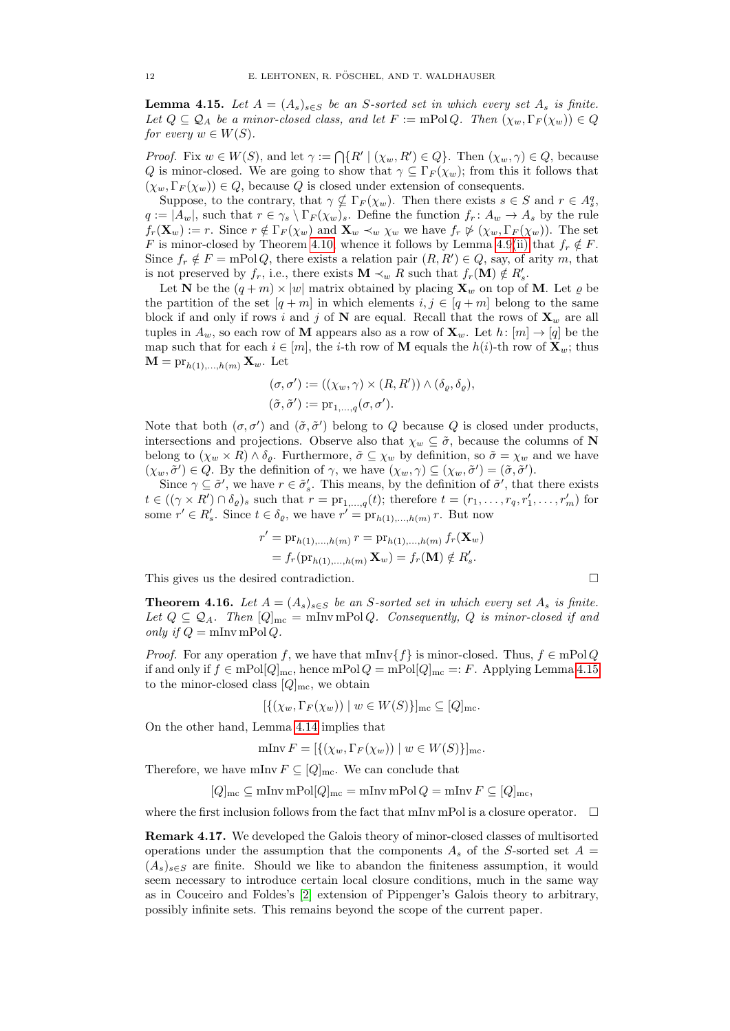<span id="page-11-0"></span>**Lemma 4.15.** Let  $A = (A_s)_{s \in S}$  be an S-sorted set in which every set  $A_s$  is finite. Let  $Q \subseteq Q_A$  be a minor-closed class, and let  $F := \text{mPol } Q$ . Then  $(\chi_w, \Gamma_F(\chi_w)) \in Q$ for every  $w \in W(S)$ .

*Proof.* Fix  $w \in W(S)$ , and let  $\gamma := \bigcap \{ R' \mid (\chi_w, R') \in Q \}$ . Then  $(\chi_w, \gamma) \in Q$ , because Q is minor-closed. We are going to show that  $\gamma \subseteq \Gamma_F(\chi_w)$ ; from this it follows that  $(\chi_w, \Gamma_F(\chi_w)) \in Q$ , because Q is closed under extension of consequents.

Suppose, to the contrary, that  $\gamma \nsubseteq \Gamma_F(\chi_w)$ . Then there exists  $s \in S$  and  $r \in A_s^q$ ,  $q := |A_w|$ , such that  $r \in \gamma_s \setminus \Gamma_F(\chi_w)_s$ . Define the function  $f_r: A_w \to A_s$  by the rule  $f_r(\mathbf{X}_w) := r$ . Since  $r \notin \Gamma_F(\chi_w)$  and  $\mathbf{X}_w \prec_w \chi_w$  we have  $f_r \not\triangleright (\chi_w, \Gamma_F(\chi_w))$ . The set F is minor-closed by Theorem [4.10,](#page-9-0) whence it follows by Lemma [4.9](#page-8-5)[\(ii\)](#page-8-3) that  $f_r \notin F$ . Since  $f_r \notin F = \text{mPol } Q$ , there exists a relation pair  $(R, R') \in Q$ , say, of arity m, that is not preserved by  $f_r$ , i.e., there exists **M**  $\prec_w R$  such that  $f_r(\mathbf{M}) \notin R'_s$ .

Let N be the  $(q+m) \times |w|$  matrix obtained by placing  $\mathbf{X}_w$  on top of M. Let  $\rho$  be the partition of the set  $[q + m]$  in which elements  $i, j \in [q + m]$  belong to the same block if and only if rows i and j of N are equal. Recall that the rows of  $\mathbf{X}_w$  are all tuples in  $A_w$ , so each row of **M** appears also as a row of  $\mathbf{X}_w$ . Let  $h: [m] \to [q]$  be the map such that for each  $i \in [m]$ , the *i*-th row of **M** equals the  $h(i)$ -th row of  $\mathbf{X}_w$ ; thus  $\mathbf{M} = \mathrm{pr}_{h(1),...,h(m)} \mathbf{X}_{w}$ . Let

$$
(\sigma, \sigma') := ((\chi_w, \gamma) \times (R, R')) \wedge (\delta_{\varrho}, \delta_{\varrho}),
$$
  

$$
(\tilde{\sigma}, \tilde{\sigma}') := \mathrm{pr}_{1, \dots, q}(\sigma, \sigma').
$$

Note that both  $(\sigma, \sigma')$  and  $(\tilde{\sigma}, \tilde{\sigma}')$  belong to Q because Q is closed under products, intersections and projections. Observe also that  $\chi_w \subseteq \tilde{\sigma}$ , because the columns of N belong to  $(\chi_w \times R) \wedge \delta_o$ . Furthermore,  $\tilde{\sigma} \subseteq \chi_w$  by definition, so  $\tilde{\sigma} = \chi_w$  and we have  $(\chi_w, \tilde{\sigma}') \in Q$ . By the definition of  $\gamma$ , we have  $(\chi_w, \gamma) \subseteq (\chi_w, \tilde{\sigma}') = (\tilde{\sigma}, \tilde{\sigma}')$ .

Since  $\gamma \subseteq \tilde{\sigma}'$ , we have  $r \in \tilde{\sigma}'_s$ . This means, by the definition of  $\tilde{\sigma}'$ , that there exists  $t \in ((\gamma \times R') \cap \delta_{\varrho})_s$  such that  $r = \mathrm{pr}_{1,...,q}(t)$ ; therefore  $t = (r_1, \ldots, r_q, r'_1, \ldots, r'_m)$  for some  $r' \in R'_s$ . Since  $t \in \delta_\varrho$ , we have  $r' = \text{pr}_{h(1),...,h(m)} r$ . But now

$$
r' = \mathrm{pr}_{h(1),...,h(m)} r = \mathrm{pr}_{h(1),...,h(m)} f_r(\mathbf{X}_w)
$$
  
=  $f_r(\mathrm{pr}_{h(1),...,h(m)} \mathbf{X}_w) = f_r(\mathbf{M}) \notin R'_s.$ 

This gives us the desired contradiction.

**Theorem 4.16.** Let  $A = (A_s)_{s \in S}$  be an S-sorted set in which every set  $A_s$  is finite. Let  $Q \subseteq Q_A$ . Then  $[Q]_{\text{mc}} = \text{mlnv} \text{mPol } Q$ . Consequently, Q is minor-closed if and only if  $Q = \min \text{mPol } Q$ .

*Proof.* For any operation f, we have that  $\text{mInv}\{f\}$  is minor-closed. Thus,  $f \in \text{mPol } Q$ if and only if  $f \in mPol[Q]_{\text{mc}}$ , hence  $mPol[Q]_{\text{mc}} =: F$ . Applying Lemma [4.15](#page-11-0) to the minor-closed class  $[Q]_{\text{mc}}$ , we obtain

$$
[\{(\chi_w,\Gamma_F(\chi_w)) \mid w \in W(S)\}]_{\rm mc} \subseteq [Q]_{\rm mc}.
$$

On the other hand, Lemma [4.14](#page-10-1) implies that

$$
\mathrm{mInv}\, F=[\{(\chi_w,\Gamma_F(\chi_w))\mid w\in W(S)\}]_\mathrm{mc}
$$

Therefore, we have mInv  $F \subseteq [Q]_{\text{mc}}$ . We can conclude that

$$
[Q]_{\text{mc}} \subseteq \text{mlnv } \text{mPol}[Q]_{\text{mc}} = \text{mlnv } \text{mPol } Q = \text{mlnv } F \subseteq [Q]_{\text{mc}},
$$

where the first inclusion follows from the fact that mInv mPol is a closure operator.  $\quad \Box$ 

Remark 4.17. We developed the Galois theory of minor-closed classes of multisorted operations under the assumption that the components  $A_s$  of the S-sorted set  $A =$  $(A_s)_{s\in S}$  are finite. Should we like to abandon the finiteness assumption, it would seem necessary to introduce certain local closure conditions, much in the same way as in Couceiro and Foldes's [\[2\]](#page-13-8) extension of Pippenger's Galois theory to arbitrary, possibly infinite sets. This remains beyond the scope of the current paper.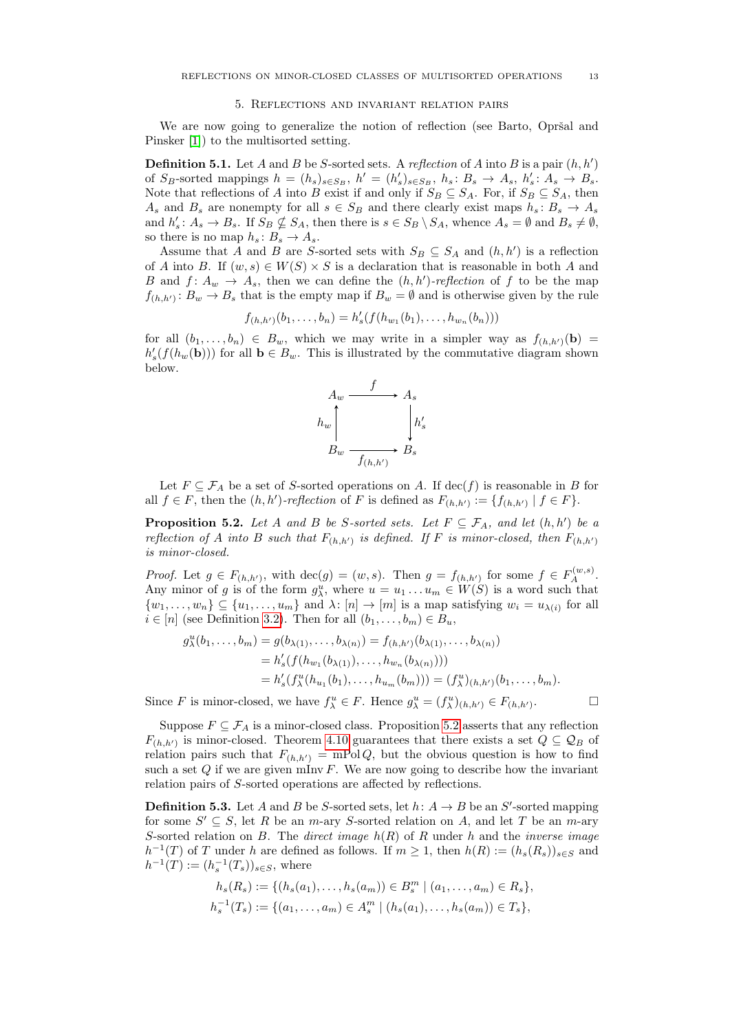#### 5. Reflections and invariant relation pairs

<span id="page-12-0"></span>We are now going to generalize the notion of reflection (see Barto, Opršal and Pinsker [\[1\]](#page-13-1)) to the multisorted setting.

**Definition 5.1.** Let A and B be S-sorted sets. A reflection of A into B is a pair  $(h, h')$ of  $S_B$ -sorted mappings  $h = (h_s)_{s \in S_B}$ ,  $h' = (h'_s)_{s \in S_B}$ ,  $h_s : B_s \to A_s$ ,  $h'_s : A_s \to B_s$ . Note that reflections of A into B exist if and only if  $S_B \subseteq S_A$ . For, if  $S_B \subseteq S_A$ , then  $A_s$  and  $B_s$  are nonempty for all  $s \in S_B$  and there clearly exist maps  $h_s : B_s \to A_s$ and  $h'_s: A_s \to B_s$ . If  $S_B \nsubseteq S_A$ , then there is  $s \in S_B \setminus S_A$ , whence  $A_s = \emptyset$  and  $B_s \neq \emptyset$ , so there is no map  $h_s: B_s \to A_s$ .

Assume that A and B are S-sorted sets with  $S_B \subseteq S_A$  and  $(h, h')$  is a reflection of A into B. If  $(w, s) \in W(S) \times S$  is a declaration that is reasonable in both A and B and  $f: A_w \to A_s$ , then we can define the  $(h, h')$ -reflection of f to be the map  $f_{(h,h')}$ :  $B_w \to B_s$  that is the empty map if  $B_w = \emptyset$  and is otherwise given by the rule

$$
f_{(h,h')}(b_1,\ldots,b_n) = h'_s(f(h_{w_1}(b_1),\ldots,h_{w_n}(b_n)))
$$

for all  $(b_1, \ldots, b_n) \in B_w$ , which we may write in a simpler way as  $f_{(h,h')}(b) =$  $h'_s(f(h_w(\mathbf{b})))$  for all  $\mathbf{b} \in B_w$ . This is illustrated by the commutative diagram shown below.



Let  $F \subseteq \mathcal{F}_A$  be a set of S-sorted operations on A. If  $\text{dec}(f)$  is reasonable in B for all  $f \in F$ , then the  $(h, h')$ -reflection of F is defined as  $F_{(h, h')} := \{f_{(h, h')} | f \in F\}$ .

<span id="page-12-1"></span>**Proposition 5.2.** Let A and B be S-sorted sets. Let  $F \subseteq \mathcal{F}_A$ , and let  $(h, h')$  be a reflection of A into B such that  $F_{(h,h')}$  is defined. If F is minor-closed, then  $F_{(h,h')}$ is minor-closed.

*Proof.* Let  $g \in F_{(h,h')},$  with  $\text{dec}(g) = (w, s)$ . Then  $g = f_{(h,h')}$  for some  $f \in F_A^{(w,s)}$ . Any minor of g is of the form  $g_{\lambda}^u$ , where  $u = u_1 \dots u_m \in W(S)$  is a word such that  $\{w_1,\ldots,w_n\} \subseteq \{u_1,\ldots,u_m\}$  and  $\lambda: [n] \to [m]$  is a map satisfying  $w_i = u_{\lambda(i)}$  for all  $i \in [n]$  (see Definition [3.2\)](#page-2-1). Then for all  $(b_1, \ldots, b_m) \in B_u$ ,

$$
g_{\lambda}^{u}(b_{1},...,b_{m}) = g(b_{\lambda(1)},...,b_{\lambda(n)}) = f_{(h,h')}(b_{\lambda(1)},...,b_{\lambda(n)})
$$
  
=  $h'_{s}(f(h_{w_{1}}(b_{\lambda(1)}),...,h_{w_{n}}(b_{\lambda(n)})))$   
=  $h'_{s}(f_{\lambda}^{u}(h_{u_{1}}(b_{1}),...,h_{u_{m}}(b_{m}))) = (f_{\lambda}^{u})_{(h,h')}(b_{1},...,b_{m}).$ 

Since F is minor-closed, we have  $f_{\lambda}^u \in F$ . Hence  $g_{\lambda}^u = (f_{\lambda}^u)_{(h,h')} \in F_{(h,h')}$ 

Suppose  $F \subseteq \mathcal{F}_A$  is a minor-closed class. Proposition [5.2](#page-12-1) asserts that any reflection  $F_{(h,h')}$  is minor-closed. Theorem [4.10](#page-9-0) guarantees that there exists a set  $Q \subseteq \mathcal{Q}_B$  of relation pairs such that  $F_{(h,h')} = mPolQ$ , but the obvious question is how to find such a set  $Q$  if we are given mInv  $F$ . We are now going to describe how the invariant relation pairs of S-sorted operations are affected by reflections.

**Definition 5.3.** Let A and B be S-sorted sets, let  $h: A \rightarrow B$  be an S'-sorted mapping for some  $S' \subseteq S$ , let R be an m-ary S-sorted relation on A, and let T be an m-ary S-sorted relation on B. The direct image  $h(R)$  of R under h and the inverse image  $h^{-1}(T)$  of T under h are defined as follows. If  $m \geq 1$ , then  $h(R) := (h_s(R_s))_{s \in S}$  and  $h^{-1}(T) := (h_s^{-1}(T_s))_{s \in S}$ , where

$$
h_s(R_s) := \{ (h_s(a_1), \dots, h_s(a_m)) \in B_s^m \mid (a_1, \dots, a_m) \in R_s \},
$$
  

$$
h_s^{-1}(T_s) := \{ (a_1, \dots, a_m) \in A_s^m \mid (h_s(a_1), \dots, h_s(a_m)) \in T_s \},
$$

 $\Box$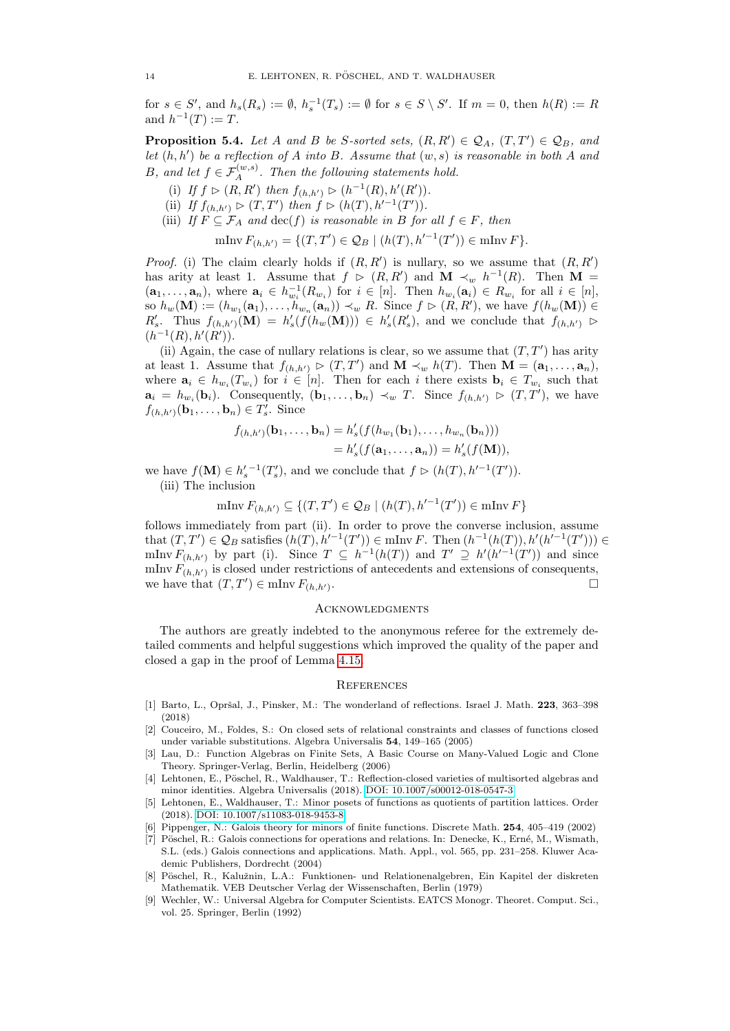for  $s \in S'$ , and  $h_s(R_s) := \emptyset$ ,  $h_s^{-1}(T_s) := \emptyset$  for  $s \in S \setminus S'$ . If  $m = 0$ , then  $h(R) := R$ and  $h^{-1}(T) := T$ .

**Proposition 5.4.** Let A and B be S-sorted sets,  $(R, R') \in \mathcal{Q}_A$ ,  $(T, T') \in \mathcal{Q}_B$ , and let  $(h, h')$  be a reflection of A into B. Assume that  $(w, s)$  is reasonable in both A and B, and let  $f \in \mathcal{F}_A^{(w,s)}$ . Then the following statements hold.

- (i) If  $f \triangleright (R, R')$  then  $f_{(h, h')} \triangleright (h^{-1}(R), h'(R')).$
- (ii) If  $f_{(h,h')} \triangleright (T,T')$  then  $f \triangleright (h(T), h'^{-1}(T'))$ .
- (iii) If  $F \subseteq \mathcal{F}_A$  and  $\text{dec}(f)$  is reasonable in B for all  $f \in F$ , then

$$
\text{minv } F_{(h,h')} = \{ (T,T') \in \mathcal{Q}_B \mid (h(T), h'^{-1}(T')) \in \text{minv } F \}.
$$

*Proof.* (i) The claim clearly holds if  $(R, R')$  is nullary, so we assume that  $(R, R')$ has arity at least 1. Assume that  $f \ge (R, R')$  and  $\mathbf{M} \prec_w h^{-1}(R)$ . Then  $\mathbf{M} =$  $(a_1,\ldots,a_n)$ , where  $a_i \in h_{w_i}^{-1}(R_{w_i})$  for  $i \in [n]$ . Then  $h_{w_i}(a_i) \in R_{w_i}$  for all  $i \in [n]$ , so  $h_w(\mathbf{M}) := (h_{w_1}(\mathbf{a}_1), \ldots, h_{w_n}(\mathbf{a}_n)) \prec_w R$ . Since  $f \triangleright (R, R')$ , we have  $f(h_w(\mathbf{M})) \in$  $R'_s$ . Thus  $f_{(h,h')}(\mathbf{M}) = h'_s(f(h_w(\mathbf{M}))) \in h'_s(R'_s)$ , and we conclude that  $f_{(h,h')} \supset$  $(h^{-1}(R), h'(R')).$ 

(ii) Again, the case of nullary relations is clear, so we assume that  $(T, T')$  has arity at least 1. Assume that  $f_{(h,h')} \triangleright (T,T')$  and  $\mathbf{M} \prec_w h(T)$ . Then  $\mathbf{M} = (\mathbf{a}_1,\ldots,\mathbf{a}_n)$ , where  $\mathbf{a}_i \in h_{w_i}(T_{w_i})$  for  $i \in [n]$ . Then for each i there exists  $\mathbf{b}_i \in T_{w_i}$  such that  $\mathbf{a}_i = h_{w_i}(\mathbf{b}_i)$ . Consequently,  $(\mathbf{b}_1, \ldots, \mathbf{b}_n) \prec_w T$ . Since  $f_{(h, h')} \triangleright (T, T')$ , we have  $f_{(h,h')}(\mathbf{b}_1,\ldots,\mathbf{b}_n)\in T'_s$ . Since

$$
f_{(h,h')}(\mathbf{b}_1,\ldots,\mathbf{b}_n) = h'_s(f(h_{w_1}(\mathbf{b}_1),\ldots,h_{w_n}(\mathbf{b}_n)))
$$
  
=  $h'_s(f(\mathbf{a}_1,\ldots,\mathbf{a}_n)) = h'_s(f(\mathbf{M})),$ 

we have  $f(\mathbf{M}) \in h_s'^{-1}(T_s')$ , and we conclude that  $f \triangleright (h(T), h'^{-1}(T'))$ . (iii) The inclusion

$$
\mathrm{mInv}\,F_{(h,h')}\subseteq\{(T,T')\in\mathcal{Q}_B\mid (h(T),h'^{-1}(T'))\in\mathrm{mInv}\,F\}
$$

follows immediately from part (ii). In order to prove the converse inclusion, assume that  $(T, T') \in \mathcal{Q}_B$  satisfies  $(h(T), h'^{-1}(T')) \in \text{mlnv } F$ . Then  $(h^{-1}(h(T)), h'(h'^{-1}(T'))) \in$ mInv  $F_{(h,h')}$  by part (i). Since  $T \subseteq h^{-1}(h(T))$  and  $T' \supseteq h'(h'^{-1}(T'))$  and since mInv  $F_{(h,h')}$  is closed under restrictions of antecedents and extensions of consequents, we have that  $(T, T') \in \min F_{(h,h')}$ . В последните поставите на селото на селото на селото на селото на селото на селото на селото на селото на се<br>Селото на селото на селото на селото на селото на селото на селото на селото на селото на селото на селото на

## **ACKNOWLEDGMENTS**

The authors are greatly indebted to the anonymous referee for the extremely detailed comments and helpful suggestions which improved the quality of the paper and closed a gap in the proof of Lemma [4.15.](#page-11-0)

#### **REFERENCES**

- <span id="page-13-1"></span>[1] Barto, L., Opršal, J., Pinsker, M.: The wonderland of reflections. Israel J. Math. 223, 363–398 (2018)
- <span id="page-13-8"></span>[2] Couceiro, M., Foldes, S.: On closed sets of relational constraints and classes of functions closed under variable substitutions. Algebra Universalis 54, 149–165 (2005)
- <span id="page-13-5"></span>[3] Lau, D.: Function Algebras on Finite Sets, A Basic Course on Many-Valued Logic and Clone Theory. Springer-Verlag, Berlin, Heidelberg (2006)
- <span id="page-13-2"></span>[4] Lehtonen, E., Pöschel, R., Waldhauser, T.: Reflection-closed varieties of multisorted algebras and minor identities. Algebra Universalis (2018). [DOI: 10.1007/s00012-018-0547-3](https://doi.org/10.1007/s00012-018-0547-3)
- <span id="page-13-4"></span>[5] Lehtonen, E., Waldhauser, T.: Minor posets of functions as quotients of partition lattices. Order (2018). [DOI: 10.1007/s11083-018-9453-8](https://doi.org/10.1007/s11083-018-9453-8)
- <span id="page-13-0"></span>[6] Pippenger, N.: Galois theory for minors of finite functions. Discrete Math. 254, 405–419 (2002)
- <span id="page-13-7"></span>[7] Pöschel, R.: Galois connections for operations and relations. In: Denecke, K., Erné, M., Wismath, S.L. (eds.) Galois connections and applications. Math. Appl., vol. 565, pp. 231–258. Kluwer Academic Publishers, Dordrecht (2004)
- <span id="page-13-6"></span>[8] Pöschel, R., Kalužnin, L.A.: Funktionen- und Relationenalgebren, Ein Kapitel der diskreten Mathematik. VEB Deutscher Verlag der Wissenschaften, Berlin (1979)
- <span id="page-13-3"></span>[9] Wechler, W.: Universal Algebra for Computer Scientists. EATCS Monogr. Theoret. Comput. Sci., vol. 25. Springer, Berlin (1992)